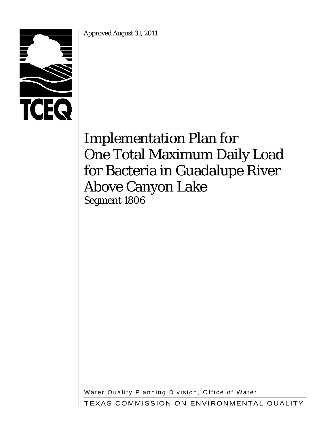Approved August 31, 2011



# Implementation Plan for One Total Maximum Daily Load for Bacteria in Guadalupe River Above Canyon Lake Segment 1806

Water Quality Planning Division, Office of Water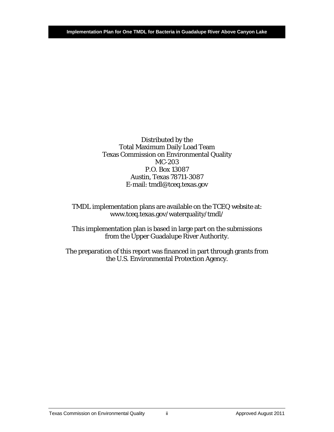Distributed by the Total Maximum Daily Load Team Texas Commission on Environmental Quality MC-203 P.O. Box 13087 Austin, Texas 78711-3087 E-mail: tmdl@tceq.texas.gov

TMDL implementation plans are available on the TCEQ website at: www.tceq.texas.gov/waterquality/tmdl/

This implementation plan is based in large part on the submissions from the Upper Guadalupe River Authority.

The preparation of this report was financed in part through grants from the U.S. Environmental Protection Agency.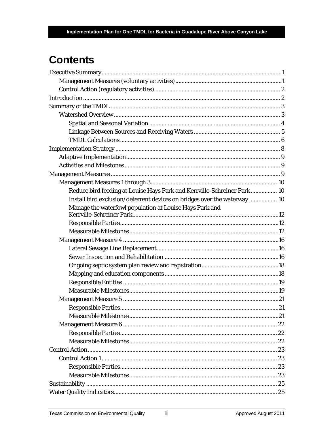# **Contents**

| Reduce bird feeding at Louise Hays Park and Kerrville-Schreiner Park  10  |  |
|---------------------------------------------------------------------------|--|
| Install bird exclusion/deterrent devices on bridges over the waterway  10 |  |
| Manage the waterfowl population at Louise Hays Park and                   |  |
|                                                                           |  |
|                                                                           |  |
|                                                                           |  |
|                                                                           |  |
|                                                                           |  |
|                                                                           |  |
|                                                                           |  |
|                                                                           |  |
|                                                                           |  |
|                                                                           |  |
|                                                                           |  |
|                                                                           |  |
|                                                                           |  |
|                                                                           |  |
|                                                                           |  |
|                                                                           |  |
|                                                                           |  |
|                                                                           |  |
|                                                                           |  |
|                                                                           |  |
|                                                                           |  |
|                                                                           |  |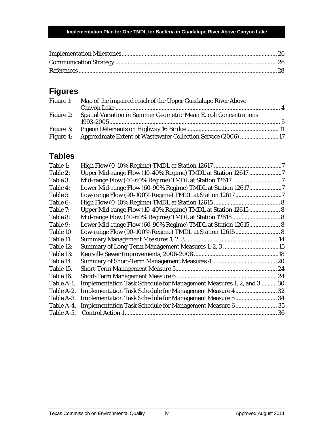# **Figures**

| Figure 1: Map of the impaired reach of the Upper Guadalupe River Above      |  |
|-----------------------------------------------------------------------------|--|
| Figure 2: Spatial Variation in Summer Geometric Mean E. coli Concentrations |  |
| Figure 4: Approximate Extent of Wastewater Collection Service (2006) 17     |  |
|                                                                             |  |

# **Tables**

| Table 1:   |                                                                      |  |
|------------|----------------------------------------------------------------------|--|
| Table 2:   | Upper Mid-range Flow (10-40% Regime) TMDL at Station 12617 7         |  |
| Table 3:   |                                                                      |  |
| Table 4:   | Lower Mid-range Flow (60-90% Regime) TMDL at Station 126177          |  |
| Table 5:   |                                                                      |  |
| Table 6:   |                                                                      |  |
| Table 7:   | Upper Mid-range Flow (10-40% Regime) TMDL at Station 12615  8        |  |
| Table 8:   |                                                                      |  |
| Table 9:   | Lower Mid-range Flow (60-90% Regime) TMDL at Station 12615 8         |  |
| Table 10:  | Low-range Flow (90-100% Regime) TMDL at Station 12615 8              |  |
| Table 11:  |                                                                      |  |
| Table 12:  |                                                                      |  |
| Table 13:  |                                                                      |  |
| Table 14.  |                                                                      |  |
| Table 15.  |                                                                      |  |
| Table 16.  |                                                                      |  |
| Table A-1. | Implementation Task Schedule for Management Measures 1, 2, and 3  30 |  |
| Table A-2. | Implementation Task Schedule for Management Measure 4 32             |  |
| Table A-3. | Implementation Task Schedule for Management Measure 5  34            |  |
| Table A-4. | Implementation Task Schedule for Management Measure 6 35             |  |
| Table A-5. |                                                                      |  |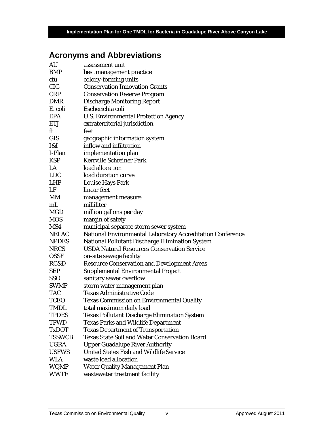# **Acronyms and Abbreviations**

| AU            | assessment unit                                                                                                      |
|---------------|----------------------------------------------------------------------------------------------------------------------|
| <b>BMP</b>    | best management practice                                                                                             |
| cfu           | colony-forming units                                                                                                 |
| <b>CIG</b>    | <b>Conservation Innovation Grants</b>                                                                                |
| <b>CRP</b>    | <b>Conservation Reserve Program</b>                                                                                  |
| <b>DMR</b>    | <b>Discharge Monitoring Report</b>                                                                                   |
| E. coli       | Escherichia coli                                                                                                     |
| <b>EPA</b>    | <b>U.S. Environmental Protection Agency</b>                                                                          |
| <b>ETJ</b>    | extraterritorial jurisdiction                                                                                        |
| ft            | feet                                                                                                                 |
| <b>GIS</b>    | geographic information system                                                                                        |
| I&I           | inflow and infiltration                                                                                              |
| I-Plan        | implementation plan                                                                                                  |
| <b>KSP</b>    | <b>Kerrville Schreiner Park</b>                                                                                      |
| LA            | load allocation                                                                                                      |
| <b>LDC</b>    | load duration curve                                                                                                  |
| <b>LHP</b>    | <b>Louise Hays Park</b>                                                                                              |
| LF            | linear feet                                                                                                          |
| MM            | management measure                                                                                                   |
| mL            | milliliter                                                                                                           |
| <b>MGD</b>    | million gallons per day                                                                                              |
| <b>MOS</b>    | margin of safety                                                                                                     |
|               |                                                                                                                      |
| MS4           |                                                                                                                      |
| <b>NELAC</b>  | municipal separate storm sewer system                                                                                |
| <b>NPDES</b>  | National Environmental Laboratory Accreditation Conference<br><b>National Pollutant Discharge Elimination System</b> |
| <b>NRCS</b>   | <b>USDA Natural Resources Conservation Service</b>                                                                   |
| <b>OSSF</b>   | on-site sewage facility                                                                                              |
| RC&D          | <b>Resource Conservation and Development Areas</b>                                                                   |
| <b>SEP</b>    | Supplemental Environmental Project                                                                                   |
| <b>SSO</b>    | sanitary sewer overflow                                                                                              |
| <b>SWMP</b>   | storm water management plan                                                                                          |
| <b>TAC</b>    | <b>Texas Administrative Code</b>                                                                                     |
| <b>TCEQ</b>   | <b>Texas Commission on Environmental Quality</b>                                                                     |
| <b>TMDL</b>   |                                                                                                                      |
| <b>TPDES</b>  | total maximum daily load<br><b>Texas Pollutant Discharge Elimination System</b>                                      |
| <b>TPWD</b>   | <b>Texas Parks and Wildlife Department</b>                                                                           |
| <b>TxDOT</b>  |                                                                                                                      |
| <b>TSSWCB</b> | <b>Texas Department of Transportation</b><br><b>Texas State Soil and Water Conservation Board</b>                    |
| <b>UGRA</b>   | <b>Upper Guadalupe River Authority</b>                                                                               |
| <b>USFWS</b>  | <b>United States Fish and Wildlife Service</b>                                                                       |
| <b>WLA</b>    | waste load allocation                                                                                                |
| <b>WQMP</b>   | <b>Water Quality Management Plan</b><br>wastewater treatment facility                                                |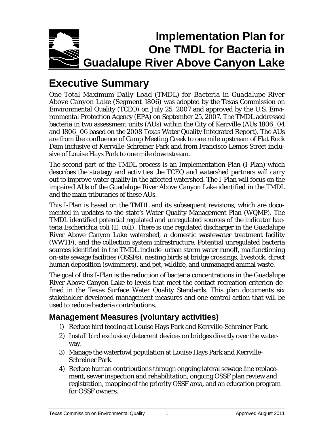

# <span id="page-6-0"></span>**Executive Summary**

*One Total Maximum Daily Load (TMDL) for Bacteria in Guadalupe River Above Canyon Lake (Segment 1806)* was adopted by the Texas Commission on Environmental Quality (TCEQ) on July 25, 2007 and approved by the U.S. Environmental Protection Agency (EPA) on September 25, 2007. The TMDL addressed bacteria in two assessment units (AUs) within the City of Kerrville (AUs 1806\_04 and 1806\_06 based on the 2008 Texas Water Quality Integrated Report). The AUs are from the confluence of Camp Meeting Creek to one mile upstream of Flat Rock Dam inclusive of Kerrville-Schreiner Park and from Francisco Lemos Street inclusive of Louise Hays Park to one mile downstream.

The second part of the TMDL process is an Implementation Plan (I-Plan) which describes the strategy and activities the TCEQ and watershed partners will carry out to improve water quality in the affected watershed. The I-Plan will focus on the impaired AUs of the Guadalupe River Above Canyon Lake identified in the TMDL and the main tributaries of these AUs.

This I-Plan is based on the TMDL and its subsequent revisions, which are documented in updates to the state's Water Quality Management Plan (WQMP). The TMDL identified potential regulated and unregulated sources of the indicator bacteria *Escherichia coli* (*E. coli*). There is one regulated discharger in the Guadalupe River Above Canyon Lake watershed, a domestic wastewater treatment facility (WWTF), and the collection system infrastructure. Potential unregulated bacteria sources identified in the TMDL include urban storm water runoff, malfunctioning on-site sewage facilities (OSSFs), nesting birds at bridge crossings, livestock, direct human deposition (swimmers), and pet, wildlife, and unmanaged animal waste.

The goal of this I-Plan is the reduction of bacteria concentrations in the Guadalupe River Above Canyon Lake to levels that meet the contact recreation criterion defined in the Texas Surface Water Quality Standards. This plan documents six stakeholder developed management measures and one control action that will be used to reduce bacteria contributions.

# <span id="page-6-1"></span>**Management Measures (voluntary activities)**

- 1) Reduce bird feeding at Louise Hays Park and Kerrville-Schreiner Park.
- 2) Install bird exclusion/deterrent devices on bridges directly over the waterway.
- 3) Manage the waterfowl population at Louise Hays Park and Kerrville-Schreiner Park.
- 4) Reduce human contributions through ongoing lateral sewage line replacement, sewer inspection and rehabilitation, ongoing OSSF plan review and registration, mapping of the priority OSSF area, and an education program for OSSF owners.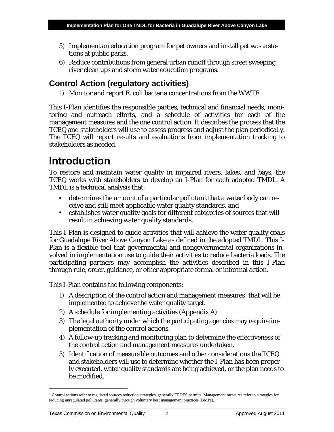- 5) Implement an education program for pet owners and install pet waste stations at public parks.
- 6) Reduce contributions from general urban runoff through street sweeping, river clean ups and storm water education programs.

# <span id="page-7-0"></span>**Control Action (regulatory activities)**

1) Monitor and report *E. coli* bacteria concentrations from the WWTF.

This I-Plan identifies the responsible parties, technical and financial needs, monitoring and outreach efforts, and a schedule of activities for each of the management measures and the one control action. It describes the process that the TCEQ and stakeholders will use to assess progress and adjust the plan periodically. The TCEQ will report results and evaluations from implementation tracking to stakeholders as needed.

# <span id="page-7-1"></span>**Introduction**

To restore and maintain water quality in impaired rivers, lakes, and bays, the TCEQ works with stakeholders to develop an I-Plan for each adopted TMDL. A TMDL is a technical analysis that:

- determines the amount of a particular pollutant that a water body can receive and still meet applicable water quality standards, and
- establishes water quality goals for different categories of sources that will result in achieving water quality standards.

This I-Plan is designed to guide activities that will achieve the water quality goals for Guadalupe River Above Canyon Lake as defined in the adopted TMDL. This I-Plan is a flexible tool that governmental and nongovernmental organizations involved in implementation use to guide their activities to reduce bacteria loads. The participating partners may accomplish the activities described in this I-Plan through rule, order, guidance, or other appropriate formal or informal action.

This I-Plan contains the following components:

- [1](#page-7-2)) A description of the control action and management measures<sup>1</sup> that will be implemented to achieve the water quality target.
- 2) A schedule for implementing activities (Appendix A).
- 3) The legal authority under which the participating agencies may require implementation of the control actions.
- 4) A follow-up tracking and monitoring plan to determine the effectiveness of the control action and management measures undertaken.
- 5) Identification of measurable outcomes and other considerations the TCEQ and stakeholders will use to determine whether the I-Plan has been properly executed, water quality standards are being achieved, or the plan needs to be modified.

<span id="page-7-2"></span> $1$  Control actions refer to regulated sources reduction strategies, generally TPDES permits. Management measures refer to strategies for reducing unregulated pollutants, generally through voluntary best management practices (BMPs).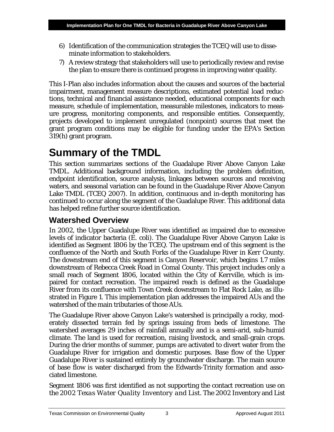- 6) Identification of the communication strategies the TCEQ will use to disseminate information to stakeholders.
- 7) A review strategy that stakeholders will use to periodically review and revise the plan to ensure there is continued progress in improving water quality.

This I-Plan also includes information about the causes and sources of the bacterial impairment, management measure descriptions, estimated potential load reductions, technical and financial assistance needed, educational components for each measure, schedule of implementation, measurable milestones, indicators to measure progress, monitoring components, and responsible entities. Consequently, projects developed to implement unregulated (nonpoint) sources that meet the grant program conditions may be eligible for funding under the EPA's Section 319(h) grant program.

# <span id="page-8-0"></span>**Summary of the TMDL**

This section summarizes sections of the Guadalupe River Above Canyon Lake TMDL. Additional background information, including the problem definition, endpoint identification, source analysis, linkages between sources and receiving waters, and seasonal variation can be found in the Guadalupe River Above Canyon Lake TMDL (TCEQ 2007). In addition, continuous and in-depth monitoring has continued to occur along the segment of the Guadalupe River. This additional data has helped refine further source identification.

# <span id="page-8-1"></span>**Watershed Overview**

In 2002, the Upper Guadalupe River was identified as impaired due to excessive levels of indicator bacteria (*E. coli*). The Guadalupe River Above Canyon Lake is identified as Segment 1806 by the TCEQ. The upstream end of this segment is the confluence of the North and South Forks of the Guadalupe River in Kerr County. The downstream end of this segment is Canyon Reservoir, which begins 1.7 miles downstream of Rebecca Creek Road in Comal County. This project includes only a small reach of Segment 1806, located within the City of Kerrville, which is impaired for contact recreation. The impaired reach is defined as the Guadalupe River from its confluence with Town Creek downstream to Flat Rock Lake, as illustrated in Figure 1. This implementation plan addresses the impaired AUs and the watershed of the main tributaries of those AUs.

The Guadalupe River above Canyon Lake's watershed is principally a rocky, moderately dissected terrain fed by springs issuing from beds of limestone. The watershed averages 29 inches of rainfall annually and is a semi-arid, sub-humid climate. The land is used for recreation, raising livestock, and small-grain crops. During the drier months of summer, pumps are activated to divert water from the Guadalupe River for irrigation and domestic purposes. Base flow of the Upper Guadalupe River is sustained entirely by groundwater discharge. The main source of base flow is water discharged from the Edwards-Trinity formation and associated limestone.

Segment 1806 was first identified as not supporting the contact recreation use on the *2002 Texas Water Quality Inventory and List*. The 2002 Inventory and List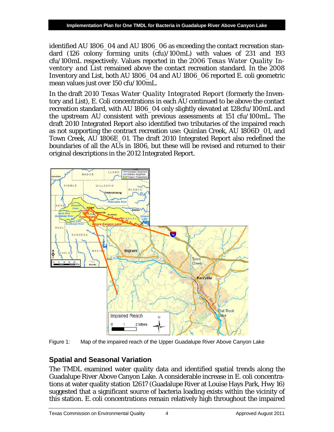identified AU 1806\_04 and AU 1806\_06 as exceeding the contact recreation standard (126 colony forming units (cfu)/100mL) with values of 231 and 193 cfu/100mL respectively. Values reported in the *2006 Texas Water Quality Inventory and List* remained above the contact recreation standard. In the 2008 Inventory and List, both AU 1806\_04 and AU 1806\_06 reported *E. coli* geometric mean values just over 150 cfu/100mL.

In the draft *2010 Texas Water Quality Integrated Report* (formerly the Inventory and List), *E. Coli* concentrations in each AU continued to be above the contact recreation standard, with AU 1806\_04 only slightly elevated at 128cfu/100mL and the upstream AU consistent with previous assessments at 151 cfu/100mL. The draft 2010 Integrated Report also identified two tributaries of the impaired reach as not supporting the contract recreation use: Quinlan Creek, AU 1806D\_01, and Town Creek, AU 1806E\_01. The draft 2010 Integrated Report also redefined the boundaries of all the AUs in 1806, but these will be revised and returned to their original descriptions in the 2012 Integrated Report.



<span id="page-9-1"></span>Figure 1: Map of the impaired reach of the Upper Guadalupe River Above Canyon Lake

# <span id="page-9-0"></span>**Spatial and Seasonal Variation**

The TMDL examined water quality data and identified spatial trends along the Guadalupe River Above Canyon Lake. A considerable increase in *E. coli* concentrations at water quality station 12617 (Guadalupe River at Louise Hays Park, Hwy 16) suggested that a significant source of bacteria loading exists within the vicinity of this station. *E. coli* concentrations remain relatively high throughout the impaired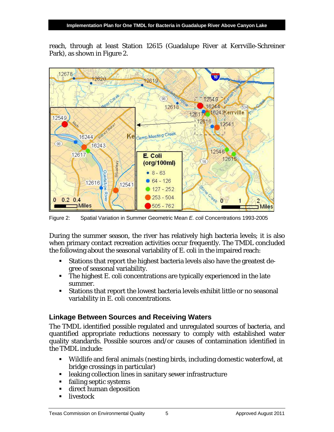reach, through at least Station 12615 (Guadalupe River at Kerrville-Schreiner Park), as shown in Figure 2.



<span id="page-10-1"></span>Figure 2: Spatial Variation in Summer Geometric Mean *E. coli* Concentrations 1993-2005

During the summer season, the river has relatively high bacteria levels; it is also when primary contact recreation activities occur frequently. The TMDL concluded the following about the seasonal variability of *E. coli* in the impaired reach:

- Stations that report the highest bacteria levels also have the greatest degree of seasonal variability.
- The highest *E. coli* concentrations are typically experienced in the late summer.
- Stations that report the lowest bacteria levels exhibit little or no seasonal variability in *E. coli* concentrations.

## <span id="page-10-0"></span>**Linkage Between Sources and Receiving Waters**

The TMDL identified possible regulated and unregulated sources of bacteria, and quantified appropriate reductions necessary to comply with established water quality standards. Possible sources and/or causes of contamination identified in the TMDL include:

- Wildlife and feral animals (nesting birds, including domestic waterfowl, at bridge crossings in particular)
- **EXECUTE:** leaking collection lines in sanitary sewer infrastructure
- failing septic systems
- direct human deposition
- **u** livestock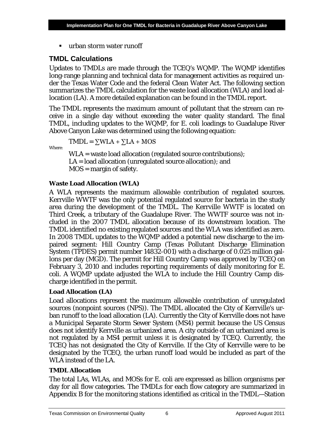urban storm water runoff

## <span id="page-11-0"></span>**TMDL Calculations**

Updates to TMDLs are made through the TCEQ's WQMP. The WQMP identifies long-range planning and technical data for management activities as required under the Texas Water Code and the federal Clean Water Act. The following section summarizes the TMDL calculation for the waste load allocation (WLA) and load allocation (LA). A more detailed explanation can be found in the TMDL report.

The TMDL represents the maximum amount of pollutant that the stream can receive in a single day without exceeding the water quality standard. The final TMDL, including updates to the WQMP, for *E. coli* loadings to Guadalupe River Above Canyon Lake was determined using the following equation:

Where:

 $TMDL = \sum WLA + \sum LA + MOS$ 

WLA = waste load allocation (regulated source contributions); LA = load allocation (unregulated source allocation); and MOS = margin of safety.

### **Waste Load Allocation (WLA)**

A WLA represents the maximum allowable contribution of regulated sources. Kerrville WWTF was the only potential regulated source for bacteria in the study area during the development of the TMDL. The Kerrville WWTF is located on Third Creek, a tributary of the Guadalupe River. The WWTF source was not included in the 2007 TMDL allocation because of its downstream location. The TMDL identified no existing regulated sources and the WLA was identified as zero. In 2008 TMDL updates to the WQMP added a potential new discharge to the impaired segment: Hill Country Camp (Texas Pollutant Discharge Elimination System (TPDES) permit number 14832-001) with a discharge of 0.025 million gallons per day (MGD). The permit for Hill Country Camp was approved by TCEQ on February 3, 2010 and includes reporting requirements of daily monitoring for E. coli. A WQMP update adjusted the WLA to include the Hill Country Camp discharge identified in the permit.

### **Load Allocation (LA)**

Load allocations represent the maximum allowable contribution of unregulated sources (nonpoint sources (NPS)). The TMDL allocated the City of Kerrville's urban runoff to the load allocation (LA). Currently the City of Kerrville does not have a Municipal Separate Storm Sewer System (MS4) permit because the US Census does not identify Kerrville as urbanized area. A city outside of an urbanized area is not regulated by a MS4 permit unless it is designated by TCEQ. Currently, the TCEQ has not designated the City of Kerrville. If the City of Kerrville were to be designated by the TCEQ, the urban runoff load would be included as part of the WLA instead of the LA.

## **TMDL Allocation**

The total LAs, WLAs, and MOSs for *E. coli* are expressed as billion organisms per day for all flow categories. The TMDLs for each flow category are summarized in Appendix B for the monitoring stations identified as critical in the TMDL—Station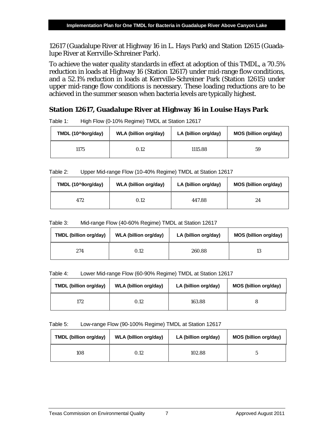12617 (Guadalupe River at Highway 16 in L. Hays Park) and Station 12615 (Guadalupe River at Kerrville-Schreiner Park).

To achieve the water quality standards in effect at adoption of this TMDL, a 70.5% reduction in loads at Highway 16 (Station 12617) under mid-range flow conditions, and a 52.1% reduction in loads at Kerrville-Schreiner Park (Station 12615) under upper mid-range flow conditions is necessary. These loading reductions are to be achieved in the summer season when bacteria levels are typically highest.

### **Station 12617, Guadalupe River at Highway 16 in Louise Hays Park**

| TMDL (10^9org/day) | <b>WLA (billion org/day)</b> | LA (billion org/day) | MOS (billion org/day) |
|--------------------|------------------------------|----------------------|-----------------------|
| 1175               | 0.12                         | 1115.88              | 59                    |

<span id="page-12-0"></span>Table 1: High Flow (0-10% Regime) TMDL at Station 12617

<span id="page-12-1"></span>

| Table 2: |  | Upper Mid-range Flow (10-40% Regime) TMDL at Station 12617 |
|----------|--|------------------------------------------------------------|
|          |  |                                                            |

| TMDL (10^9org/day) | <b>WLA (billion org/day)</b> | LA (billion org/day) | MOS (billion org/day) |
|--------------------|------------------------------|----------------------|-----------------------|
| 472                | 0.12                         | 447.88               | 24                    |

<span id="page-12-2"></span>

| Table 3: | Mid-range Flow (40-60% Regime) TMDL at Station 12617 |
|----------|------------------------------------------------------|
|----------|------------------------------------------------------|

| TMDL (billion org/day) | <b>WLA (billion org/day)</b> | LA (billion org/day) | MOS (billion org/day) |
|------------------------|------------------------------|----------------------|-----------------------|
| 274                    | 0.12                         | 260.88               | 13                    |

#### <span id="page-12-3"></span>Table 4: Lower Mid-range Flow (60-90% Regime) TMDL at Station 12617

| <b>TMDL (billion org/day)</b> | <b>WLA (billion org/day)</b> | LA (billion org/day) | MOS (billion org/day) |
|-------------------------------|------------------------------|----------------------|-----------------------|
| 172                           | 0.12                         | 163.88               |                       |

#### <span id="page-12-4"></span>Table 5: Low-range Flow (90-100% Regime) TMDL at Station 12617

| TMDL (billion org/day) | <b>WLA (billion org/day)</b> | LA (billion org/day) | MOS (billion org/day) |
|------------------------|------------------------------|----------------------|-----------------------|
| 108                    | 0.12                         | 102.88               |                       |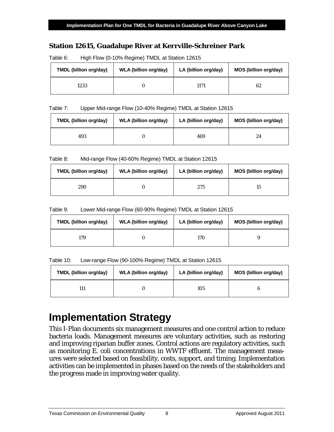## **Station 12615, Guadalupe River at Kerrville-Schreiner Park**

| <b>TMDL (billion org/day)</b> | <b>WLA (billion org/day)</b> | LA (billion org/day) | MOS (billion org/day) |  |  |
|-------------------------------|------------------------------|----------------------|-----------------------|--|--|
| 1233                          |                              | 1171                 | 62                    |  |  |

<span id="page-13-1"></span>Table 6: High Flow (0-10% Regime) TMDL at Station 12615

#### <span id="page-13-2"></span>Table 7: Upper Mid-range Flow (10-40% Regime) TMDL at Station 12615

| <b>TMDL (billion org/day)</b><br><b>WLA (billion org/day)</b> |  | LA (billion org/day) | MOS (billion org/day) |  |  |
|---------------------------------------------------------------|--|----------------------|-----------------------|--|--|
| 493                                                           |  | 469                  | 24                    |  |  |

<span id="page-13-3"></span>Table 8: Mid-range Flow (40-60% Regime) TMDL at Station 12615

| <b>TMDL</b> (billion org/day)<br>WLA (billion org/day) |  | LA (billion org/day) | MOS (billion org/day) |  |  |
|--------------------------------------------------------|--|----------------------|-----------------------|--|--|
| 290                                                    |  | 275                  | 15                    |  |  |

<span id="page-13-4"></span>Table 9: Lower Mid-range Flow (60-90% Regime) TMDL at Station 12615

| TMDL (billion org/day) | WLA (billion org/day) |     | MOS (billion org/day) |  |  |
|------------------------|-----------------------|-----|-----------------------|--|--|
| 179                    |                       | 170 |                       |  |  |

<span id="page-13-5"></span>Table 10: Low-range Flow (90-100% Regime) TMDL at Station 12615

| TMDL (billion org/day) | <b>WLA (billion org/day)</b> |     | MOS (billion org/day) |  |  |
|------------------------|------------------------------|-----|-----------------------|--|--|
|                        |                              | 105 |                       |  |  |

# <span id="page-13-0"></span>**Implementation Strategy**

This I-Plan documents six management measures and one control action to reduce bacteria loads. Management measures are voluntary activities, such as restoring and improving riparian buffer zones. Control actions are regulatory activities, such as monitoring *E. coli* concentrations in WWTF effluent. The management measures were selected based on feasibility, costs, support, and timing. Implementation activities can be implemented in phases based on the needs of the stakeholders and the progress made in improving water quality.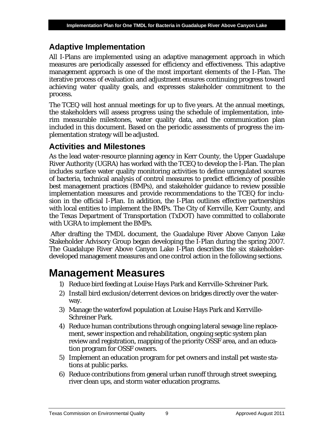# <span id="page-14-0"></span>**Adaptive Implementation**

All I-Plans are implemented using an adaptive management approach in which measures are periodically assessed for efficiency and effectiveness. This adaptive management approach is one of the most important elements of the I-Plan. The iterative process of evaluation and adjustment ensures continuing progress toward achieving water quality goals, and expresses stakeholder commitment to the process.

The TCEQ will host annual meetings for up to five years. At the annual meetings, the stakeholders will assess progress using the schedule of implementation, interim measurable milestones, water quality data, and the communication plan included in this document. Based on the periodic assessments of progress the implementation strategy will be adjusted.

# <span id="page-14-1"></span>**Activities and Milestones**

As the lead water-resource planning agency in Kerr County, the Upper Guadalupe River Authority (UGRA) has worked with the TCEQ to develop the I-Plan. The plan includes surface water quality monitoring activities to define unregulated sources of bacteria, technical analysis of control measures to predict efficiency of possible best management practices (BMPs), and stakeholder guidance to review possible implementation measures and provide recommendations to the TCEQ for inclusion in the official I-Plan. In addition, the I-Plan outlines effective partnerships with local entities to implement the BMPs. The City of Kerrville, Kerr County, and the Texas Department of Transportation (TxDOT) have committed to collaborate with UGRA to implement the BMPs.

After drafting the TMDL document, the Guadalupe River Above Canyon Lake Stakeholder Advisory Group began developing the I-Plan during the spring 2007. The Guadalupe River Above Canyon Lake I-Plan describes the six stakeholderdeveloped management measures and one control action in the following sections.

# <span id="page-14-2"></span>**Management Measures**

- 1) Reduce bird feeding at Louise Hays Park and Kerrville-Schreiner Park.
- 2) Install bird exclusion/deterrent devices on bridges directly over the waterway.
- 3) Manage the waterfowl population at Louise Hays Park and Kerrville-Schreiner Park.
- 4) Reduce human contributions through ongoing lateral sewage line replacement, sewer inspection and rehabilitation, ongoing septic system plan review and registration, mapping of the priority OSSF area, and an education program for OSSF owners.
- 5) Implement an education program for pet owners and install pet waste stations at public parks.
- 6) Reduce contributions from general urban runoff through street sweeping, river clean ups, and storm water education programs.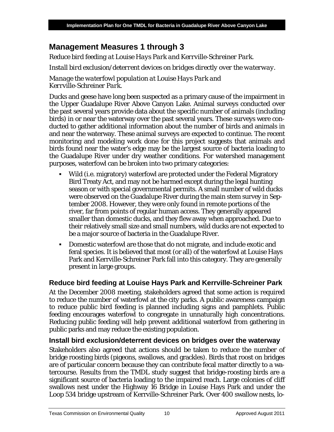# <span id="page-15-0"></span>**Management Measures 1 through 3**

*Reduce bird feeding at Louise Hays Park and Kerrville-Schreiner Park.*

*Install bird exclusion/deterrent devices on bridges directly over the waterway.*

*Manage the waterfowl population at Louise Hays Park and Kerrville-Schreiner Park.*

Ducks and geese have long been suspected as a primary cause of the impairment in the Upper Guadalupe River Above Canyon Lake. Animal surveys conducted over the past several years provide data about the specific number of animals (including birds) in or near the waterway over the past several years. These surveys were conducted to gather additional information about the number of birds and animals in and near the waterway. These animal surveys are expected to continue. The recent monitoring and modeling work done for this project suggests that animals and birds found near the water's edge may be the largest source of bacteria loading to the Guadalupe River under dry weather conditions. For watershed management purposes, waterfowl can be broken into two primary categories:

- Wild (i.e. migratory) waterfowl are protected under the Federal Migratory Bird Treaty Act, and may not be harmed except during the legal hunting season or with special governmental permits. A small number of wild ducks were observed on the Guadalupe River during the main stem survey in September 2008. However, they were only found in remote portions of the river, far from points of regular human access. They generally appeared smaller than domestic ducks, and they flew away when approached. Due to their relatively small size and small numbers, wild ducks are not expected to be a major source of bacteria in the Guadalupe River.
- Domestic waterfowl are those that do not migrate, and include exotic and feral species. It is believed that most (or all) of the waterfowl at Louise Hays Park and Kerrville-Schreiner Park fall into this category. They are generally present in large groups.

## <span id="page-15-1"></span>**Reduce bird feeding at Louise Hays Park and Kerrville-Schreiner Park**

At the December 2008 meeting, stakeholders agreed that some action is required to reduce the number of waterfowl at the city parks. A public awareness campaign to reduce public bird feeding is planned including signs and pamphlets. Public feeding encourages waterfowl to congregate in unnaturally high concentrations. Reducing public feeding will help prevent additional waterfowl from gathering in public parks and may reduce the existing population.

## <span id="page-15-2"></span>**Install bird exclusion/deterrent devices on bridges over the waterway**

Stakeholders also agreed that actions should be taken to reduce the number of bridge roosting birds (pigeons, swallows, and grackles). Birds that roost on bridges are of particular concern because they can contribute fecal matter directly to a watercourse. Results from the TMDL study suggest that bridge-roosting birds are a significant source of bacteria loading to the impaired reach. Large colonies of cliff swallows nest under the Highway 16 Bridge in Louise Hays Park and under the Loop 534 bridge upstream of Kerrville-Schreiner Park. Over 400 swallow nests, lo-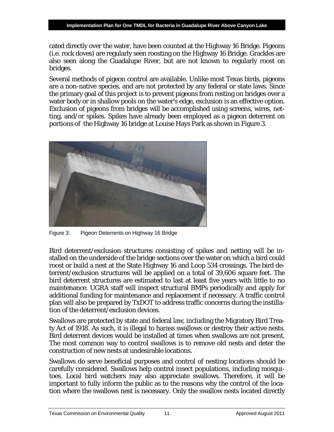cated directly over the water, have been counted at the Highway 16 Bridge. Pigeons (i.e. rock doves) are regularly seen roosting on the Highway 16 Bridge. Grackles are also seen along the Guadalupe River, but are not known to regularly roost on bridges.

Several methods of pigeon control are available. Unlike most Texas birds, pigeons are a non-native species, and are not protected by any federal or state laws. Since the primary goal of this project is to prevent pigeons from resting on bridges over a water body or in shallow pools on the water's edge, exclusion is an effective option. Exclusion of pigeons from bridges will be accomplished using screens, wires, netting, and/or spikes. Spikes have already been employed as a pigeon deterrent on portions of the Highway 16 bridge at Louise Hays Park as shown in Figure 3.



Figure 3: Pigeon Deterrents on Highway 16 Bridge

<span id="page-16-0"></span>Bird deterrent/exclusion structures consisting of spikes and netting will be installed on the underside of the bridge sections over the water on which a bird could roost or build a nest at the State Highway 16 and Loop 534 crossings. The bird deterrent/exclusion structures will be applied on a total of 39,606 square feet. The bird deterrent structures are estimated to last at least five years with little to no maintenance. UGRA staff will inspect structural BMPs periodically and apply for additional funding for maintenance and replacement if necessary. A traffic control plan will also be prepared by TxDOT to address traffic concerns during the instillation of the deterrent/exclusion devices.

Swallows are protected by state and federal law, including the Migratory Bird Treaty Act of 1918. As such, it is illegal to harass swallows or destroy their active nests. Bird deterrent devices would be installed at times when swallows are not present. The most common way to control swallows is to remove old nests and deter the construction of new nests at undesirable locations.

Swallows do serve beneficial purposes and control of nesting locations should be carefully considered. Swallows help control insect populations, including mosquitoes. Local bird watchers may also appreciate swallows. Therefore, it will be important to fully inform the public as to the reasons why the control of the location where the swallows nest is necessary. Only the swallow nests located directly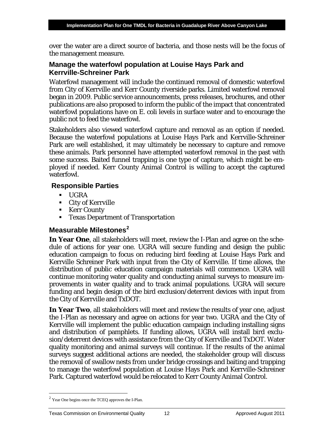over the water are a direct source of bacteria, and those nests will be the focus of the management measure.

### <span id="page-17-0"></span>**Manage the waterfowl population at Louise Hays Park and Kerrville-Schreiner Park**

Waterfowl management will include the continued removal of domestic waterfowl from City of Kerrville and Kerr County riverside parks. Limited waterfowl removal began in 2009. Public service announcements, press releases, brochures, and other publications are also proposed to inform the public of the impact that concentrated waterfowl populations have on *E. coli* levels in surface water and to encourage the public not to feed the waterfowl.

Stakeholders also viewed waterfowl capture and removal as an option if needed. Because the waterfowl populations at Louise Hays Park and Kerrville-Schreiner Park are well established, it may ultimately be necessary to capture and remove these animals. Park personnel have attempted waterfowl removal in the past with some success. Baited funnel trapping is one type of capture, which might be employed if needed. Kerr County Animal Control is willing to accept the captured waterfowl.

### <span id="page-17-1"></span>**Responsible Parties**

- $\blacksquare$  UGRA
- City of Kerrville
- Kerr County
- **Texas Department of Transportation**

## <span id="page-17-2"></span>**Measurable Milestones[2](#page-17-3)**

**In Year One**, all stakeholders will meet, review the I-Plan and agree on the schedule of actions for year one. UGRA will secure funding and design the public education campaign to focus on reducing bird feeding at Louise Hays Park and Kerrville Schreiner Park with input from the City of Kerrville. If time allows, the distribution of public education campaign materials will commence. UGRA will continue monitoring water quality and conducting animal surveys to measure improvements in water quality and to track animal populations. UGRA will secure funding and begin design of the bird exclusion/deterrent devices with input from the City of Kerrville and TxDOT.

**In Year Two**, all stakeholders will meet and review the results of year one, adjust the I-Plan as necessary and agree on actions for year two. UGRA and the City of Kerrville will implement the public education campaign including installing signs and distribution of pamphlets. If funding allows, UGRA will install bird exclusion/deterrent devices with assistance from the City of Kerrville and TxDOT. Water quality monitoring and animal surveys will continue. If the results of the animal surveys suggest additional actions are needed, the stakeholder group will discuss the removal of swallow nests from under bridge crossings and baiting and trapping to manage the waterfowl population at Louise Hays Park and Kerrville-Schreiner Park. Captured waterfowl would be relocated to Kerr County Animal Control.

<span id="page-17-3"></span><sup>2</sup> Year One begins once the TCEQ approves the I-Plan.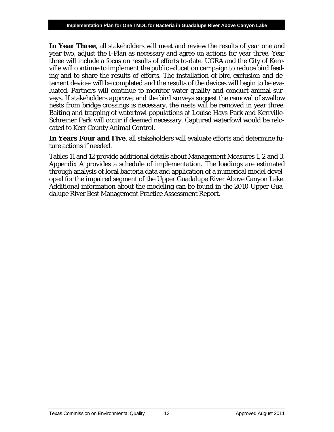**In Year Three**, all stakeholders will meet and review the results of year one and year two, adjust the I-Plan as necessary and agree on actions for year three. Year three will include a focus on results of efforts to-date. UGRA and the City of Kerrville will continue to implement the public education campaign to reduce bird feeding and to share the results of efforts. The installation of bird exclusion and deterrent devices will be completed and the results of the devices will begin to be evaluated. Partners will continue to monitor water quality and conduct animal surveys. If stakeholders approve, and the bird surveys suggest the removal of swallow nests from bridge crossings is necessary, the nests will be removed in year three. Baiting and trapping of waterfowl populations at Louise Hays Park and Kerrville-Schreiner Park will occur if deemed necessary. Captured waterfowl would be relocated to Kerr County Animal Control.

**In Years Four and Five**, all stakeholders will evaluate efforts and determine future actions if needed.

Tables 11 and 12 provide additional details about Management Measures 1, 2 and 3. Appendix A provides a schedule of implementation. The loadings are estimated through analysis of local bacteria data and application of a numerical model developed for the impaired segment of the Upper Guadalupe River Above Canyon Lake. Additional information about the modeling can be found in the 2010 Upper Guadalupe River Best Management Practice Assessment Report.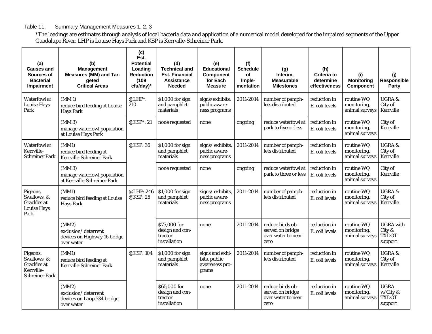#### Table 11: Summary Management Measures 1, 2, 3

\*The loadings are estimates through analysis of local bacteria data and application of a numerical model developed for the impaired segments of the Upper Guadalupe River. LHP is Louise Hays Park and KSP is Kerrville-Schreiner Park.

<span id="page-19-0"></span>

| (a)<br><b>Causes and</b><br>Sources of<br><b>Bacterial</b><br>Impairment             | (b)<br><b>Management</b><br>Measures (MM) and Tar-<br>qeted<br><b>Critical Areas</b> | (c)<br>Est.<br><b>Potential</b><br>Loading<br><b>Reduction</b><br>(109)<br>cfu/day)* | (d)<br><b>Technical and</b><br><b>Est. Financial</b><br><b>Assistance</b><br><b>Needed</b> | (e)<br><b>Educational</b><br><b>Component</b><br>for Each<br><b>Measure</b> | (f)<br><b>Schedule</b><br>of<br>Imple-<br>mentation | (g)<br>Interim,<br><b>Measurable</b><br><b>Milestones</b>          | (h)<br>Criteria to<br>determine<br>effectiveness | (i)<br><b>Monitoring</b><br><b>Component</b> | (i)<br>Responsible<br>Party                           |
|--------------------------------------------------------------------------------------|--------------------------------------------------------------------------------------|--------------------------------------------------------------------------------------|--------------------------------------------------------------------------------------------|-----------------------------------------------------------------------------|-----------------------------------------------------|--------------------------------------------------------------------|--------------------------------------------------|----------------------------------------------|-------------------------------------------------------|
| <b>Waterfowl</b> at<br><b>Louise Hays</b><br>Park                                    | (MM1)<br>reduce bird feeding at Louise<br><b>Hays Park</b>                           | $@LHP^*$ :<br>210                                                                    | \$1,000 for sign<br>and pamphlet<br>materials                                              | signs/exhibits,<br>public aware-<br>ness programs                           | 2011-2014                                           | number of pamph-<br>lets distributed                               | reduction in<br>E. coli levels                   | routine WQ<br>monitoring,<br>animal surveys  | <b>UGRA&amp;</b><br>City of<br>Kerrville              |
|                                                                                      | (MM3)<br>manage waterfowl population<br>at Louise Hays Park                          | @KSP*: 21                                                                            | none requested                                                                             | none                                                                        | ongoing                                             | reduce waterfowl at<br>park to five or less                        | reduction in<br>E. coli levels                   | routine WQ<br>monitoring,<br>animal surveys  | City of<br>Kerrville                                  |
| <b>Waterfowl</b> at<br>Kerrville-<br><b>Schreiner Park</b>                           | (MM1)<br>reduce bird feeding at<br>Kerrville-Schreiner Park                          | @KSP: 36                                                                             | \$1,000 for sign<br>and pamphlet<br>materials                                              | signs/exhibits,<br>public aware-<br>ness programs                           | 2011-2014                                           | number of pamph-<br>lets distributed                               | reduction in<br>E. coli levels                   | routine WQ<br>monitoring,<br>animal surveys  | <b>UGRA &amp;</b><br>City of<br>Kerrville             |
|                                                                                      | (MM3)<br>manage waterfowl population<br>at Kerrville-Schreiner Park                  |                                                                                      | none requested                                                                             | none                                                                        | ongoing                                             | reduce waterfowl at<br>park to three or less                       | reduction in<br>E. coli levels                   | routine WQ<br>monitoring,<br>animal surveys  | City of<br>Kerrville                                  |
| Pigeons,<br>Swallows, &<br><b>Grackles</b> at<br><b>Louise Hays</b><br>Park          | (MM1)<br>reduce bird feeding at Louise<br><b>Hays Park</b>                           | @LHP: 246<br>@KSP: 25                                                                | \$1,000 for sign<br>and pamphlet<br>materials                                              | signs/exhibits,<br>public aware-<br>ness programs                           | 2011-2014                                           | number of pamph-<br>lets distributed                               | reduction in<br>E. coli levels                   | routine WQ<br>monitoring,<br>animal surveys  | <b>UGRA &amp;</b><br>City of<br>Kerrville             |
|                                                                                      | (MM2)<br>exclusion/deterrent<br>devices on Highway 16 bridge<br>over water           |                                                                                      | \$75,000 for<br>design and con-<br>tractor<br>installation                                 | none                                                                        | 2011-2014                                           | reduce birds ob-<br>served on bridge<br>over water to near<br>zero | reduction in<br>E. coli levels                   | routine WQ<br>monitoring,<br>animal surveys  | <b>UGRA</b> with<br>City &<br><b>TXDOT</b><br>support |
| Pigeons,<br>Swallows, &<br><b>Grackles</b> at<br>Kerrville-<br><b>Schreiner Park</b> | (MM1)<br>reduce bird feeding at<br>Kerrville-Schreiner Park                          | @KSP: 104                                                                            | \$1,000 for sign<br>and pamphlet<br>materials                                              | signs and exhi-<br>bits, public<br>awareness pro-<br>grams                  | 2011-2014                                           | number of pamph-<br>lets distributed                               | reduction in<br>E. coli levels                   | routine WQ<br>monitoring,<br>animal surveys  | <b>UGRA &amp;</b><br>City of<br>Kerrville             |
|                                                                                      | (MM2)<br>exclusion/deterrent<br>devices on Loop 534 bridge<br>over water             |                                                                                      | \$65,000 for<br>design and con-<br>tractor<br>installation                                 | none                                                                        | 2011-2014                                           | reduce birds ob-<br>served on bridge<br>over water to near<br>zero | reduction in<br>E. coli levels                   | routine WQ<br>monitoring,<br>animal surveys  | <b>UGRA</b><br>w/City &<br><b>TXDOT</b><br>support    |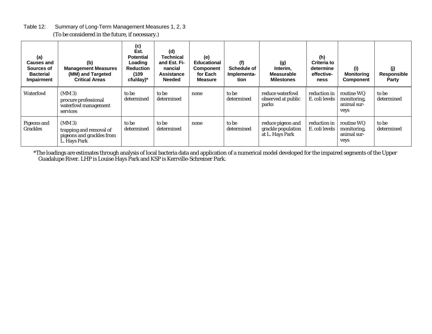| Table 12: | Summary of Long-Term Management Measures 1, 2, 3 |  |
|-----------|--------------------------------------------------|--|
|           |                                                  |  |

| (a)<br><b>Causes and</b><br>Sources of<br><b>Bacterial</b><br>Impairment | (b)<br><b>Management Measures</b><br>(MM) and Targeted<br><b>Critical Areas</b>  | (c)<br>Est.<br><b>Potential</b><br>Loading<br><b>Reduction</b><br>(109)<br>ctu/day | (d)<br>Technical<br>and Est. Fi-<br>nancial<br><b>Assistance</b><br><b>Needed</b> | (e)<br>Educational<br><b>Component</b><br>for Each<br><b>Measure</b> | (f)<br>Schedule of<br>Implementa-<br>tion | (g)<br>Interim.<br><b>Measurable</b><br><b>Milestones</b>  | (h)<br><b>Criteria to</b><br>determine<br>effective-<br>ness | (i)<br><b>Monitoring</b><br><b>Component</b>     | (j)<br>Responsible<br>Party |
|--------------------------------------------------------------------------|----------------------------------------------------------------------------------|------------------------------------------------------------------------------------|-----------------------------------------------------------------------------------|----------------------------------------------------------------------|-------------------------------------------|------------------------------------------------------------|--------------------------------------------------------------|--------------------------------------------------|-----------------------------|
| <b>Waterfowl</b>                                                         | $(MM_3)$<br>procure professional<br>waterfowl management<br>services             | to be<br>determined                                                                | to be<br>determined                                                               | none                                                                 | to be<br>determined                       | reduce waterfowl<br>observed at public<br>parks            | reduction in<br>E. coli levels                               | routine WQ<br>monitoring,<br>animal sur-<br>veys | to be<br>determined         |
| Pigeons and<br><b>Grackles</b>                                           | $(MM_3)$<br>trapping and removal of<br>pigeons and grackles from<br>L. Hays Park | to be<br>determined                                                                | to be<br>determined                                                               | none                                                                 | to be<br>determined                       | reduce pigeon and<br>grackle population<br>at L. Hays Park | reduction in<br>E. coli levels                               | routine WQ<br>monitoring,<br>animal sur-<br>veys | to be<br>determined         |

(To be considered in the future, if necessary.)

<span id="page-20-0"></span>\*The loadings are estimates through analysis of local bacteria data and application of a numerical model developed for the impaired segments of the Upper Guadalupe River. LHP is Louise Hays Park and KSP is Kerrville-Schreiner Park.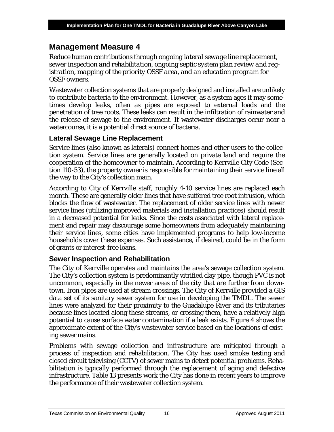## <span id="page-21-0"></span>**Management Measure 4**

*Reduce human contributions through ongoing lateral sewage line replacement, sewer inspection and rehabilitation, ongoing septic system plan review and registration, mapping of the priority OSSF area, and an education program for OSSF owners.*

Wastewater collection systems that are properly designed and installed are unlikely to contribute bacteria to the environment. However, as a system ages it may sometimes develop leaks, often as pipes are exposed to external loads and the penetration of tree roots. These leaks can result in the infiltration of rainwater and the release of sewage to the environment. If wastewater discharges occur near a watercourse, it is a potential direct source of bacteria.

### <span id="page-21-1"></span>**Lateral Sewage Line Replacement**

Service lines (also known as laterals) connect homes and other users to the collection system. Service lines are generally located on private land and require the cooperation of the homeowner to maintain. According to Kerrville City Code (Section 110-53), the property owner is responsible for maintaining their service line all the way to the City's collection main.

According to City of Kerrville staff, roughly 4-10 service lines are replaced each month. These are generally older lines that have suffered tree root intrusion, which blocks the flow of wastewater. The replacement of older service lines with newer service lines (utilizing improved materials and installation practices) should result in a decreased potential for leaks. Since the costs associated with lateral replacement and repair may discourage some homeowners from adequately maintaining their service lines, some cities have implemented programs to help low-income households cover these expenses. Such assistance, if desired, could be in the form of grants or interest-free loans.

## <span id="page-21-2"></span>**Sewer Inspection and Rehabilitation**

The City of Kerrville operates and maintains the area's sewage collection system. The City's collection system is predominantly vitrified clay pipe, though PVC is not uncommon, especially in the newer areas of the city that are further from downtown. Iron pipes are used at stream crossings. The City of Kerrville provided a GIS data set of its sanitary sewer system for use in developing the TMDL. The sewer lines were analyzed for their proximity to the Guadalupe River and its tributaries because lines located along these streams, or crossing them, have a relatively high potential to cause surface water contamination if a leak exists. Figure 4 shows the approximate extent of the City's wastewater service based on the locations of existing sewer mains.

Problems with sewage collection and infrastructure are mitigated through a process of inspection and rehabilitation. The City has used smoke testing and closed circuit televising (CCTV) of sewer mains to detect potential problems. Rehabilitation is typically performed through the replacement of aging and defective infrastructure. Table 13 presents work the City has done in recent years to improve the performance of their wastewater collection system.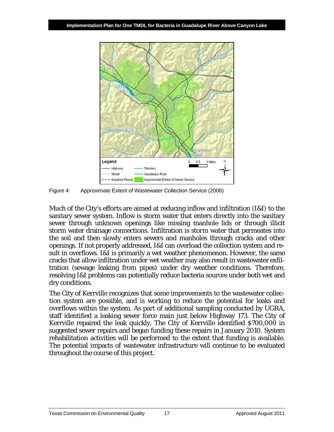

<span id="page-22-0"></span>Figure 4: Approximate Extent of Wastewater Collection Service (2006)

Much of the City's efforts are aimed at reducing inflow and infiltration (I&I) to the sanitary sewer system. Inflow is storm water that enters directly into the sanitary sewer through unknown openings like missing manhole lids or through illicit storm water drainage connections. Infiltration is storm water that permeates into the soil and then slowly enters sewers and manholes through cracks and other openings. If not properly addressed, I&I can overload the collection system and result in overflows. I&I is primarily a wet weather phenomenon. However, the same cracks that allow infiltration under wet weather may also result in wastewater exfiltration (sewage leaking from pipes) under dry weather conditions. Therefore, resolving I&I problems can potentially reduce bacteria sources under both wet and dry conditions.

The City of Kerrville recognizes that some improvements to the wastewater collection system are possible, and is working to reduce the potential for leaks and overflows within the system. As part of additional sampling conducted by UGRA, staff identified a leaking sewer force main just below Highway 173. The City of Kerrville repaired the leak quickly. The City of Kerrville identified \$700,000 in suggested sewer repairs and began funding these repairs in January 2010. System rehabilitation activities will be performed to the extent that funding is available. The potential impacts of wastewater infrastructure will continue to be evaluated throughout the course of this project.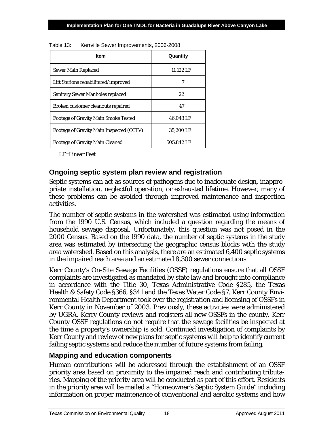| <b>Item</b>                                 | Quantity   |
|---------------------------------------------|------------|
| Sewer Main Replaced                         | 11.122 LF  |
| Lift Stations rehabilitated/improved        | 7          |
| Sanitary Sewer Manholes replaced            | 22         |
| Broken customer cleanouts repaired          | 47         |
| <b>Footage of Gravity Main Smoke Tested</b> | 46.043 LF  |
| Footage of Gravity Main Inspected (CCTV)    | 35.200 LF  |
| <b>Footage of Gravity Main Cleaned</b>      | 505,842 LF |

<span id="page-23-2"></span>Table 13: Kerrville Sewer Improvements, 2006-2008

LF=Linear Feet

### <span id="page-23-0"></span>**Ongoing septic system plan review and registration**

Septic systems can act as sources of pathogens due to inadequate design, inappropriate installation, neglectful operation, or exhausted lifetime. However, many of these problems can be avoided through improved maintenance and inspection activities.

The number of septic systems in the watershed was estimated using information from the 1990 U.S. Census, which included a question regarding the means of household sewage disposal. Unfortunately, this question was not posed in the 2000 Census. Based on the 1990 data, the number of septic systems in the study area was estimated by intersecting the geographic census blocks with the study area watershed. Based on this analysis, there are an estimated 6,400 septic systems in the impaired reach area and an estimated 8,300 sewer connections.

Kerr County's On-Site Sewage Facilities (OSSF) regulations ensure that all OSSF complaints are investigated as mandated by state law and brought into compliance in accordance with the Title 30, Texas Administrative Code §285, the Texas Health & Safety Code §366, §341 and the Texas Water Code §7. Kerr County Environmental Health Department took over the registration and licensing of OSSFs in Kerr County in November of 2003. Previously, these activities were administered by UGRA. Kerry County reviews and registers all new OSSFs in the county. Kerr County OSSF regulations do not require that the sewage facilities be inspected at the time a property's ownership is sold. Continued investigation of complaints by Kerr County and review of new plans for septic systems will help to identify current failing septic systems and reduce the number of future systems from failing.

### <span id="page-23-1"></span>**Mapping and education components**

Human contributions will be addressed through the establishment of an OSSF priority area based on proximity to the impaired reach and contributing tributaries. Mapping of the priority area will be conducted as part of this effort. Residents in the priority area will be mailed a "Homeowner's Septic System Guide" including information on proper maintenance of conventional and aerobic systems and how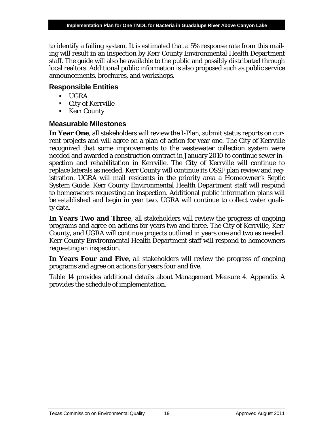to identify a failing system. It is estimated that a 5% response rate from this mailing will result in an inspection by Kerr County Environmental Health Department staff. The guide will also be available to the public and possibly distributed through local realtors. Additional public information is also proposed such as public service announcements, brochures, and workshops.

### <span id="page-24-0"></span>**Responsible Entities**

- UGRA
- City of Kerrville
- **Kerr County**

### <span id="page-24-1"></span>**Measurable Milestones**

**In Year One**, all stakeholders will review the I-Plan, submit status reports on current projects and will agree on a plan of action for year one. The City of Kerrville recognized that some improvements to the wastewater collection system were needed and awarded a construction contract in January 2010 to continue sewer inspection and rehabilitation in Kerrville. The City of Kerrville will continue to replace laterals as needed. Kerr County will continue its OSSF plan review and registration. UGRA will mail residents in the priority area a Homeowner's Septic System Guide. Kerr County Environmental Health Department staff will respond to homeowners requesting an inspection. Additional public information plans will be established and begin in year two. UGRA will continue to collect water quality data.

**In Years Two and Three**, all stakeholders will review the progress of ongoing programs and agree on actions for years two and three. The City of Kerrville, Kerr County, and UGRA will continue projects outlined in years one and two as needed. Kerr County Environmental Health Department staff will respond to homeowners requesting an inspection.

**In Years Four and Five**, all stakeholders will review the progress of ongoing programs and agree on actions for years four and five.

Table 14 provides additional details about Management Measure 4. Appendix A provides the schedule of implementation.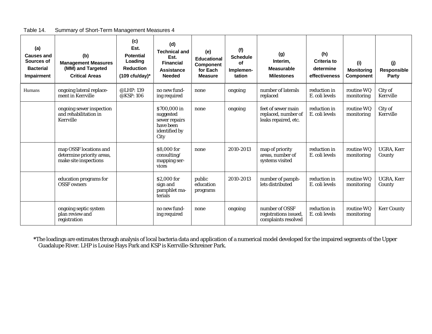| Table 14. | Summary of Short-Term Management Measures 4 |
|-----------|---------------------------------------------|
|           |                                             |

<span id="page-25-0"></span>

| (a)<br><b>Causes and</b><br>Sources of<br><b>Bacterial</b><br>Impairment | (b)<br><b>Management Measures</b><br>(MM) and Targeted<br><b>Critical Areas</b> | (c)<br>Est.<br><b>Potential</b><br>Loading<br><b>Reduction</b><br>$(109 \text{ cfu/day})^*$ | (d)<br><b>Technical and</b><br>Est.<br><b>Financial</b><br><b>Assistance</b><br><b>Needed</b> | (e)<br><b>Educational</b><br><b>Component</b><br>for Each<br><b>Measure</b> | (f)<br><b>Schedule</b><br><b>of</b><br>Implemen-<br>tation | (g)<br>Interim,<br><b>Measurable</b><br><b>Milestones</b>         | (h)<br>Criteria to<br>determine<br>effectiveness | (i)<br><b>Monitoring</b><br><b>Component</b> | (i)<br>Responsible<br>Party |
|--------------------------------------------------------------------------|---------------------------------------------------------------------------------|---------------------------------------------------------------------------------------------|-----------------------------------------------------------------------------------------------|-----------------------------------------------------------------------------|------------------------------------------------------------|-------------------------------------------------------------------|--------------------------------------------------|----------------------------------------------|-----------------------------|
| Humans                                                                   | ongoing lateral replace-<br>ment in Kerrville                                   | @LHP: 139<br>@KSP: 106                                                                      | no new fund-<br>ing required                                                                  | none                                                                        | ongoing                                                    | number of laterals<br>replaced                                    | reduction in<br>E. coli levels                   | routine WQ<br>monitoring                     | City of<br>Kerrville        |
|                                                                          | ongoing sewer inspection<br>and rehabilitation in<br>Kerrville                  |                                                                                             | \$700,000 in<br>suggested<br>sewer repairs<br>have been<br>identified by<br>City              | none                                                                        | ongoing                                                    | feet of sewer main<br>replaced, number of<br>leaks repaired, etc. | reduction in<br>E. coli levels                   | routine WQ<br>monitoring                     | City of<br>Kerrville        |
|                                                                          | map OSSF locations and<br>determine priority areas,<br>make site inspections    |                                                                                             | \$8,000 for<br>consulting/<br>mapping ser-<br>vices                                           | none                                                                        | 2010-2013                                                  | map of priority<br>areas, number of<br>systems visited            | reduction in<br>E. coli levels                   | routine WQ<br>monitoring                     | UGRA, Kerr<br>County        |
|                                                                          | education programs for<br><b>OSSF</b> owners                                    |                                                                                             | \$2,000 for<br>sign and<br>pamphlet ma-<br>terials                                            | public<br>education<br>programs                                             | 2010-2013                                                  | number of pamph-<br>lets distributed                              | reduction in<br>E. coli levels                   | routine WQ<br>monitoring                     | UGRA, Kerr<br>County        |
|                                                                          | ongoing septic system<br>plan review and<br>registration                        |                                                                                             | no new fund-<br>ing required                                                                  | none                                                                        | ongoing                                                    | number of OSSF<br>registrations issued,<br>complaints resolved    | reduction in<br>E. coli levels                   | routine WQ<br>monitoring                     | <b>Kerr County</b>          |

**\***The loadings are estimates through analysis of local bacteria data and application of a numerical model developed for the impaired segments of the Upper Guadalupe River. LHP is Louise Hays Park and KSP is Kerrville-Schreiner Park.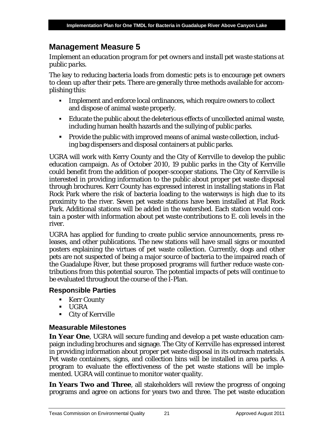# <span id="page-26-0"></span>**Management Measure 5**

*Implement an education program for pet owners and install pet waste stations at public parks.* 

The key to reducing bacteria loads from domestic pets is to encourage pet owners to clean up after their pets. There are generally three methods available for accomplishing this:

- Implement and enforce local ordinances, which require owners to collect and dispose of animal waste properly.
- Educate the public about the deleterious effects of uncollected animal waste, including human health hazards and the sullying of public parks.
- **Provide the public with improved means of animal waste collection, includ**ing bag dispensers and disposal containers at public parks.

UGRA will work with Kerry County and the City of Kerrville to develop the public education campaign. As of October 2010, 19 public parks in the City of Kerrville could benefit from the addition of pooper-scooper stations. The City of Kerrville is interested in providing information to the public about proper pet waste disposal through brochures. Kerr County has expressed interest in installing stations in Flat Rock Park where the risk of bacteria loading to the waterways is high due to its proximity to the river. Seven pet waste stations have been installed at Flat Rock Park. Additional stations will be added in the watershed. Each station would contain a poster with information about pet waste contributions to *E. coli* levels in the river.

UGRA has applied for funding to create public service announcements, press releases, and other publications. The new stations will have small signs or mounted posters explaining the virtues of pet waste collection. Currently, dogs and other pets are not suspected of being a major source of bacteria to the impaired reach of the Guadalupe River, but these proposed programs will further reduce waste contributions from this potential source. The potential impacts of pets will continue to be evaluated throughout the course of the I-Plan.

## <span id="page-26-1"></span>**Respon**s**ible Parties**

- **Kerr County**
- UGRA
- City of Kerrville

### <span id="page-26-2"></span>**Measurable Milestones**

**In Year One**, UGRA will secure funding and develop a pet waste education campaign including brochures and signage. The City of Kerrville has expressed interest in providing information about proper pet waste disposal in its outreach materials. Pet waste containers, signs, and collection bins will be installed in area parks. A program to evaluate the effectiveness of the pet waste stations will be implemented. UGRA will continue to monitor water quality.

**In Years Two and Three**, all stakeholders will review the progress of ongoing programs and agree on actions for years two and three. The pet waste education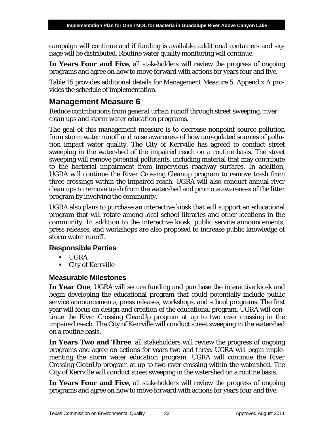campaign will continue and if funding is available, additional containers and signage will be distributed. Routine water quality monitoring will continue.

**In Years Four and Five**, all stakeholders will review the progress of ongoing programs and agree on how to move forward with actions for years four and five.

Table 15 provides additional details for Management Measure 5. Appendix A provides the schedule of implementation.

# <span id="page-27-0"></span>**Management Measure 6**

*Reduce contributions from general urban runoff through street sweeping, river clean ups and storm water education programs.*

The goal of this management measure is to decrease nonpoint source pollution from storm water runoff and raise awareness of how unregulated sources of pollution impact water quality. The City of Kerrville has agreed to conduct street sweeping in the watershed of the impaired reach on a routine basis. The street sweeping will remove potential pollutants, including material that may contribute to the bacterial impairment from impervious roadway surfaces. In addition, UGRA will continue the River Crossing Cleanup program to remove trash from three crossings within the impaired reach. UGRA will also conduct annual river clean ups to remove trash from the watershed and promote awareness of the litter program by involving the community.

UGRA also plans to purchase an interactive kiosk that will support an educational program that will rotate among local school libraries and other locations in the community. In addition to the interactive kiosk, public service announcements, press releases, and workshops are also proposed to increase public knowledge of storm water runoff.

## <span id="page-27-1"></span>**Responsible Parties**

- UGRA
- City of Kerrville

## <span id="page-27-2"></span>**Measurable Milestones**

**In Year One**, UGRA will secure funding and purchase the interactive kiosk and begin developing the educational program that could potentially include public service announcements, press releases, workshops, and school programs. The first year will focus on design and creation of the educational program. UGRA will continue the River Crossing CleanUp program at up to two river crossing in the impaired reach. The City of Kerrville will conduct street sweeping in the watershed on a routine basis.

**In Years Two and Three**, all stakeholders will review the progress of ongoing programs and agree on actions for years two and three. UGRA will begin implementing the storm water education program. UGRA will continue the River Crossing CleanUp program at up to two river crossing within the watershed. The City of Kerrville will conduct street sweeping in the watershed on a routine basis.

**In Years Four and Five**, all stakeholders will review the progress of ongoing programs and agree on how to move forward with actions for years four and five.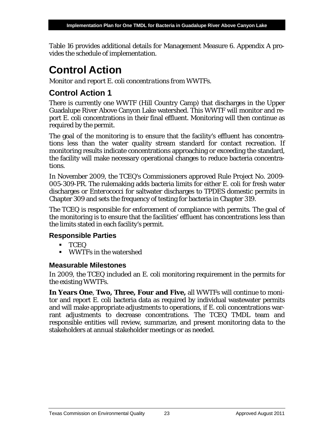Table 16 provides additional details for Management Measure 6. Appendix A provides the schedule of implementation.

# <span id="page-28-0"></span>**Control Action**

*Monitor and report E. coli concentrations from WWTFs.*

# <span id="page-28-1"></span>**Control Action 1**

There is currently one WWTF (Hill Country Camp) that discharges in the Upper Guadalupe River Above Canyon Lake watershed. This WWTF will monitor and report *E. coli* concentrations in their final effluent. Monitoring will then continue as required by the permit.

The goal of the monitoring is to ensure that the facility's effluent has concentrations less than the water quality stream standard for contact recreation. If monitoring results indicate concentrations approaching or exceeding the standard, the facility will make necessary operational changes to reduce bacteria concentrations.

In November 2009, the TCEQ's Commissioners approved Rule Project No. 2009- 005-309-PR. The rulemaking adds bacteria limits for either *E. coli* for fresh water discharges or *Enterococc*i for saltwater discharges to TPDES domestic permits in Chapter 309 and sets the frequency of testing for bacteria in Chapter 319.

The TCEQ is responsible for enforcement of compliance with permits. The goal of the monitoring is to ensure that the facilities' effluent has concentrations less than the limits stated in each facility's permit.

### <span id="page-28-2"></span>**Responsible Parties**

- TCEQ
- WWTFs in the watershed

## <span id="page-28-3"></span>**Measurable Milestones**

In 2009, the TCEQ included an *E. coli* monitoring requirement in the permits for the existing WWTFs.

**In Years One**, **Two, Three, Four and Five,** all WWTFs will continue to monitor and report *E. coli* bacteria data as required by individual wastewater permits and will make appropriate adjustments to operations, if *E. coli* concentrations warrant adjustments to decrease concentrations. The TCEQ TMDL team and responsible entities will review, summarize, and present monitoring data to the stakeholders at annual stakeholder meetings or as needed.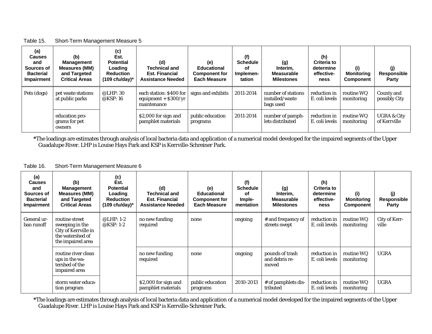#### Table 15. Short-Term Management Measure 5

| (a)<br><b>Causes</b><br>and<br>Sources of<br><b>Bacterial</b><br><b>Impairment</b> | (b)<br><b>Management</b><br><b>Measures (MM)</b><br>and Targeted<br><b>Critical Areas</b> | (c)<br>Est.<br><b>Potential</b><br>Loading<br><b>Reduction</b><br>$(109 \text{ cfu/day})^*$ | (d)<br><b>Technical and</b><br><b>Est. Financial</b><br><b>Assistance Needed</b> | (e)<br>Educational<br><b>Component for</b><br>Each Measure | (f)<br><b>Schedule</b><br>оf<br>Implemen-<br>tation | (g)<br>Interim,<br><b>Measurable</b><br><b>Milestones</b> | (h)<br><b>Criteria to</b><br>determine<br>effective-<br>ness | (i)<br><b>Monitoring</b><br><b>Component</b> | (j)<br><b>Responsible</b><br>Party     |
|------------------------------------------------------------------------------------|-------------------------------------------------------------------------------------------|---------------------------------------------------------------------------------------------|----------------------------------------------------------------------------------|------------------------------------------------------------|-----------------------------------------------------|-----------------------------------------------------------|--------------------------------------------------------------|----------------------------------------------|----------------------------------------|
| Pets (dogs)                                                                        | pet waste stations<br>at public parks                                                     | @LHP:30<br>@KSP: $16$                                                                       | each station: \$400 for<br>equipment $+$ \$300/yr<br>maintenance                 | signs and exhibits                                         | 2011-2014                                           | number of stations<br>installed/waste<br>bags used        | reduction in<br>E. coli levels                               | routine WQ<br>monitoring                     | County and<br>possibly City            |
|                                                                                    | education pro-<br>grams for pet<br>owners                                                 |                                                                                             | \$2,000 for sign and<br>pamphlet materials                                       | public education<br>programs                               | 2011-2014                                           | number of pamph-<br>lets distributed                      | reduction in<br>E. coli levels                               | routine WQ<br>monitoring                     | <b>UGRA &amp; City</b><br>of Kerrville |

<span id="page-29-0"></span>**\***The loadings are estimates through analysis of local bacteria data and application of a numerical model developed for the impaired segments of the Upper Guadalupe River. LHP is Louise Hays Park and KSP is Kerrville-Schreiner Park.

#### Table 16. Short-Term Management Measure 6

| (a)<br><b>Causes</b><br>and<br>Sources of<br><b>Bacterial</b><br><b>Impairment</b> | (b)<br><b>Management</b><br><b>Measures (MM)</b><br>and Targeted<br><b>Critical Areas</b>          | (c)<br>Est.<br><b>Potential</b><br>Loading<br><b>Reduction</b><br>$(109 \text{ cfu/day})^*$ | (d)<br><b>Technical and</b><br><b>Est. Financial</b><br><b>Assistance Needed</b> | (e)<br><b>Educational</b><br><b>Component for</b><br>Each Measure | (f)<br><b>Schedule</b><br><b>of</b><br>Imple-<br>mentation | (g)<br>Interim.<br><b>Measurable</b><br><b>Milestones</b> | (h)<br>Criteria to<br>determine<br>effective-<br>ness | (i)<br><b>Monitoring</b><br>Component | (j)<br>Responsible<br>Party |
|------------------------------------------------------------------------------------|----------------------------------------------------------------------------------------------------|---------------------------------------------------------------------------------------------|----------------------------------------------------------------------------------|-------------------------------------------------------------------|------------------------------------------------------------|-----------------------------------------------------------|-------------------------------------------------------|---------------------------------------|-----------------------------|
| General ur-<br>ban runoff                                                          | routine street<br>sweeping in the<br>City of Kerrville in<br>the watershed of<br>the impaired area | $@LHP: 1-2$<br>@KSP: 1-2                                                                    | no new funding<br>required                                                       | none                                                              | ongoing                                                    | # and frequency of<br>streets swept                       | reduction in<br>E. coli levels                        | routine WQ<br>monitoring              | City of Kerr-<br>ville      |
|                                                                                    | routine river clean<br>ups in the wa-<br>tershed of the<br>impaired area                           |                                                                                             | no new funding<br>required                                                       | none                                                              | ongoing                                                    | pounds of trash<br>and debris re-<br>moved                | reduction in<br>E. coli levels                        | routine WQ<br>monitoring              | <b>UGRA</b>                 |
|                                                                                    | storm water educa-<br>tion program                                                                 |                                                                                             | \$2,000 for sign and<br>pamphlet materials                                       | public education<br>programs                                      | 2010-2013                                                  | # of pamphlets dis-<br>tributed                           | reduction in<br>E. coli levels                        | routine WQ<br>monitoring              | <b>UGRA</b>                 |

<span id="page-29-1"></span>**\***The loadings are estimates through analysis of local bacteria data and application of a numerical model developed for the impaired segments of the Upper Guadalupe River. LHP is Louise Hays Park and KSP is Kerrville-Schreiner Park.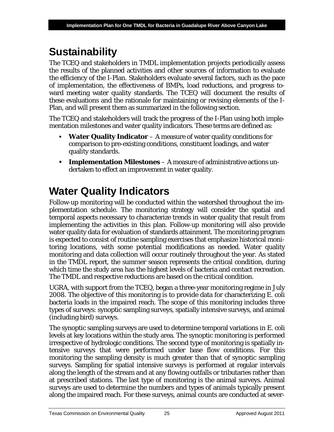# <span id="page-30-0"></span>**Sustainability**

The TCEQ and stakeholders in TMDL implementation projects periodically assess the results of the planned activities and other sources of information to evaluate the efficiency of the I-Plan. Stakeholders evaluate several factors, such as the pace of implementation, the effectiveness of BMPs, load reductions, and progress toward meeting water quality standards. The TCEQ will document the results of these evaluations and the rationale for maintaining or revising elements of the I-Plan, and will present them as summarized in the following section.

The TCEQ and stakeholders will track the progress of the I-Plan using both implementation milestones and water quality indicators. These terms are defined as:

- **Water Quality Indicator** A measure of water quality conditions for comparison to pre-existing conditions, constituent loadings, and water quality standards.
- **Implementation Milestones** A measure of administrative actions undertaken to effect an improvement in water quality.

# <span id="page-30-1"></span>**Water Quality Indicators**

Follow-up monitoring will be conducted within the watershed throughout the implementation schedule. The monitoring strategy will consider the spatial and temporal aspects necessary to characterize trends in water quality that result from implementing the activities in this plan. Follow-up monitoring will also provide water quality data for evaluation of standards attainment. The monitoring program is expected to consist of routine sampling exercises that emphasize historical monitoring locations, with some potential modifications as needed. Water quality monitoring and data collection will occur routinely throughout the year. As stated in the TMDL report, the summer season represents the critical condition, during which time the study area has the highest levels of bacteria and contact recreation. The TMDL and respective reductions are based on the critical condition.

UGRA, with support from the TCEQ, began a three-year monitoring regime in July 2008. The objective of this monitoring is to provide data for characterizing *E. coli* bacteria loads in the impaired reach. The scope of this monitoring includes three types of surveys: synoptic sampling surveys, spatially intensive surveys, and animal (including bird) surveys.

The synoptic sampling surveys are used to determine temporal variations in *E. coli* levels at key locations within the study area. The synoptic monitoring is performed irrespective of hydrologic conditions. The second type of monitoring is spatially intensive surveys that were performed under base flow conditions. For this monitoring the sampling density is much greater than that of synoptic sampling surveys. Sampling for spatial intensive surveys is performed at regular intervals along the length of the stream and at any flowing outfalls or tributaries rather than at prescribed stations. The last type of monitoring is the animal surveys. Animal surveys are used to determine the numbers and types of animals typically present along the impaired reach. For these surveys, animal counts are conducted at sever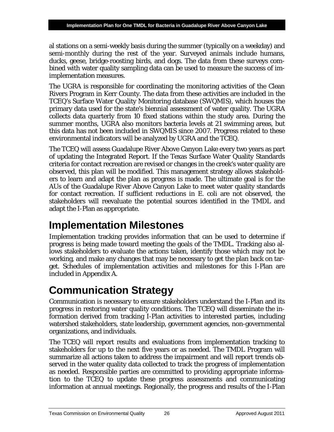al stations on a semi-weekly basis during the summer (typically on a weekday) and semi-monthly during the rest of the year. Surveyed animals include humans, ducks, geese, bridge-roosting birds, and dogs. The data from these surveys combined with water quality sampling data can be used to measure the success of imimplementation measures.

The UGRA is responsible for coordinating the monitoring activities of the Clean Rivers Program in Kerr County. The data from these activities are included in the TCEQ's Surface Water Quality Monitoring database (SWQMIS), which houses the primary data used for the state's biennial assessment of water quality. The UGRA collects data quarterly from 10 fixed stations within the study area. During the summer months, UGRA also monitors bacteria levels at 21 swimming areas, but this data has not been included in SWQMIS since 2007. Progress related to these environmental indicators will be analyzed by UGRA and the TCEQ.

The TCEQ will assess Guadalupe River Above Canyon Lake every two years as part of updating the Integrated Report. If the Texas Surface Water Quality Standards criteria for contact recreation are revised or changes in the creek's water quality are observed, this plan will be modified. This management strategy allows stakeholders to learn and adapt the plan as progress is made. The ultimate goal is for the AUs of the Guadalupe River Above Canyon Lake to meet water quality standards for contact recreation. If sufficient reductions in *E. coli* are not observed, the stakeholders will reevaluate the potential sources identified in the TMDL and adapt the I-Plan as appropriate.

# <span id="page-31-0"></span>**Implementation Milestones**

Implementation tracking provides information that can be used to determine if progress is being made toward meeting the goals of the TMDL. Tracking also allows stakeholders to evaluate the actions taken, identify those which may not be working, and make any changes that may be necessary to get the plan back on target. Schedules of implementation activities and milestones for this I-Plan are included in Appendix A.

# <span id="page-31-1"></span>**Communication Strategy**

Communication is necessary to ensure stakeholders understand the I-Plan and its progress in restoring water quality conditions. The TCEQ will disseminate the information derived from tracking I-Plan activities to interested parties, including watershed stakeholders, state leadership, government agencies, non-governmental organizations, and individuals.

The TCEQ will report results and evaluations from implementation tracking to stakeholders for up to the next five years or as needed. The TMDL Program will summarize all actions taken to address the impairment and will report trends observed in the water quality data collected to track the progress of implementation as needed. Responsible parties are committed to providing appropriate information to the TCEQ to update these progress assessments and communicating information at annual meetings. Regionally, the progress and results of the I-Plan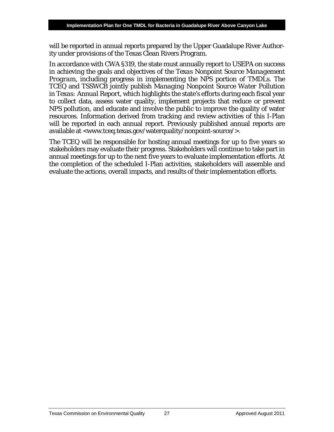will be reported in annual reports prepared by the Upper Guadalupe River Authority under provisions of the Texas Clean Rivers Program.

In accordance with CWA §319, the state must annually report to USEPA on success in achieving the goals and objectives of the *Texas Nonpoint Source Management Program*, including progress in implementing the NPS portion of TMDLs. The TCEQ and TSSWCB jointly publish *Managing Nonpoint Source Water Pollution in Texas: Annual Report*, which highlights the state's efforts during each fiscal year to collect data, assess water quality, implement projects that reduce or prevent NPS pollution, and educate and involve the public to improve the quality of water resources. Information derived from tracking and review activities of this I-Plan will be reported in each annual report. Previously published annual reports are available at <www.tceq.texas.gov/waterquality/nonpoint-source/>.

The TCEQ will be responsible for hosting annual meetings for up to five years so stakeholders may evaluate their progress. Stakeholders will continue to take part in annual meetings for up to the next five years to evaluate implementation efforts. At the completion of the scheduled I-Plan activities, stakeholders will assemble and evaluate the actions, overall impacts, and results of their implementation efforts.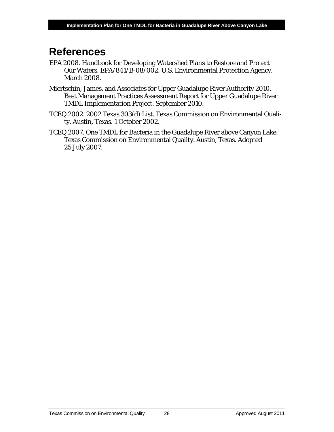# <span id="page-33-0"></span>**References**

- EPA 2008. Handbook for Developing Watershed Plans to Restore and Protect Our Waters. EPA/841/B-08/002. U.S. Environmental Protection Agency. March 2008.
- Miertschin, James, and Associates for Upper Guadalupe River Authority 2010. Best Management Practices Assessment Report for Upper Guadalupe River TMDL Implementation Project. September 2010.
- TCEQ 2002. 2002 Texas 303(d) List. Texas Commission on Environmental Quality. Austin, Texas. 1 October 2002.
- TCEQ 2007. One TMDL for Bacteria in the Guadalupe River above Canyon Lake. Texas Commission on Environmental Quality. Austin, Texas. Adopted 25 July 2007.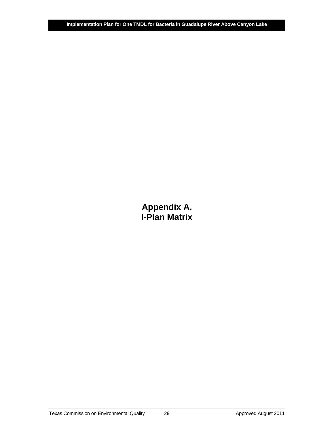**Appendix A. I-Plan Matrix**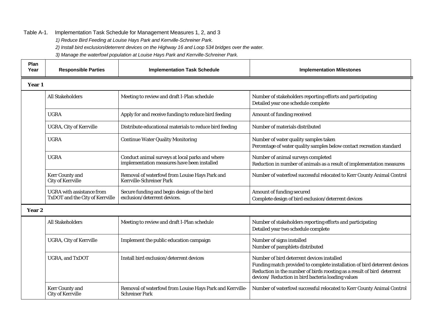#### Table A-1. Implementation Task Schedule for Management Measures 1, 2, and 3

*1) Reduce Bird Feeding at Louise Hays Park and Kerrville-Schreiner Park.*

*2) Install bird exclusion/deterrent devices on the Highway 16 and Loop 534 bridges over the water.*

*3) Manage the waterfowl population at Louise Hays Park and Kerrville-Schreiner Park.*

<span id="page-35-0"></span>

| Plan<br>Year | <b>Responsible Parties</b>                                          | <b>Implementation Task Schedule</b>                                                            | <b>Implementation Milestones</b>                                                                                                                                                                                                                         |
|--------------|---------------------------------------------------------------------|------------------------------------------------------------------------------------------------|----------------------------------------------------------------------------------------------------------------------------------------------------------------------------------------------------------------------------------------------------------|
| Year 1       |                                                                     |                                                                                                |                                                                                                                                                                                                                                                          |
|              | <b>All Stakeholders</b>                                             | Meeting to review and draft I-Plan schedule                                                    | Number of stakeholders reporting efforts and participating<br>Detailed year one schedule complete                                                                                                                                                        |
|              | <b>UGRA</b>                                                         | Apply for and receive funding to reduce bird feeding                                           | Amount of funding received                                                                                                                                                                                                                               |
|              | <b>UGRA, City of Kerrville</b>                                      | Distribute educational materials to reduce bird feeding                                        | Number of materials distributed                                                                                                                                                                                                                          |
|              | <b>UGRA</b>                                                         | <b>Continue Water Quality Monitoring</b>                                                       | Number of water quality samples taken<br>Percentage of water quality samples below contact recreation standard                                                                                                                                           |
|              | <b>UGRA</b>                                                         | Conduct animal surveys at local parks and where<br>implementation measures have been installed | Number of animal surveys completed<br>Reduction in number of animals as a result of implementation measures                                                                                                                                              |
|              | <b>Kerr County and</b><br><b>City of Kerrville</b>                  | Removal of waterfowl from Louise Hays Park and<br>Kerrville-Schreiner Park                     | Number of waterfowl successful relocated to Kerr County Animal Control                                                                                                                                                                                   |
|              | <b>UGRA</b> with assistance from<br>TxDOT and the City of Kerrville | Secure funding and begin design of the bird<br>exclusion/deterrent devices.                    | Amount of funding secured<br>Complete design of bird exclusion/deterrent devices                                                                                                                                                                         |
| Year 2       |                                                                     |                                                                                                |                                                                                                                                                                                                                                                          |
|              | <b>All Stakeholders</b>                                             | Meeting to review and draft I-Plan schedule                                                    | Number of stakeholders reporting efforts and participating<br>Detailed year two schedule complete                                                                                                                                                        |
|              | <b>UGRA, City of Kerrville</b>                                      | Implement the public education campaign                                                        | Number of signs installed<br>Number of pamphlets distributed                                                                                                                                                                                             |
|              | <b>UGRA, and TxDOT</b>                                              | Install bird exclusion/deterrent devices                                                       | Number of bird deterrent devices installed<br>Funding match provided to complete installation of bird deterrent devices<br>Reduction in the number of birds roosting as a result of bird deterrent<br>devices/ Reduction in bird bacteria loading values |
|              | <b>Kerr County and</b><br><b>City of Kerrville</b>                  | Removal of waterfowl from Louise Hays Park and Kerrville-<br><b>Schreiner Park</b>             | Number of waterfowl successful relocated to Kerr County Animal Control                                                                                                                                                                                   |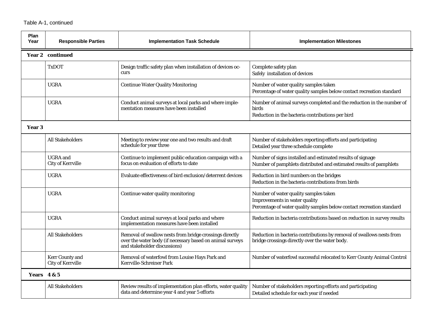#### Table A-1, continued

| Plan<br>Year | <b>Responsible Parties</b>                         | <b>Implementation Task Schedule</b>                                                                                                                  | <b>Implementation Milestones</b>                                                                                                                |
|--------------|----------------------------------------------------|------------------------------------------------------------------------------------------------------------------------------------------------------|-------------------------------------------------------------------------------------------------------------------------------------------------|
|              | Year 2 continued                                   |                                                                                                                                                      |                                                                                                                                                 |
|              | TxDOT                                              | Design traffic safety plan when installation of devices oc-<br>curs                                                                                  | Complete safety plan<br>Safely installation of devices                                                                                          |
|              | <b>UGRA</b>                                        | <b>Continue Water Quality Monitoring</b>                                                                                                             | Number of water quality samples taken<br>Percentage of water quality samples below contact recreation standard                                  |
|              | <b>UGRA</b>                                        | Conduct animal surveys at local parks and where imple-<br>mentation measures have been installed                                                     | Number of animal surveys completed and the reduction in the number of<br>birds<br>Reduction in the bacteria contributions per bird              |
| Year 3       |                                                    |                                                                                                                                                      |                                                                                                                                                 |
|              | <b>All Stakeholders</b>                            | Meeting to review year one and two results and draft<br>schedule for year three                                                                      | Number of stakeholders reporting efforts and participating<br>Detailed year three schedule complete                                             |
|              | <b>UGRA</b> and<br><b>City of Kerrville</b>        | Continue to implement public education campaign with a<br>focus on evaluation of efforts to date                                                     | Number of signs installed and estimated results of signage<br>Number of pamphlets distributed and estimated results of pamphlets                |
|              | <b>UGRA</b>                                        | Evaluate effectiveness of bird exclusion/deterrent devices                                                                                           | Reduction in bird numbers on the bridges<br>Reduction in the bacteria contributions from birds                                                  |
|              | <b>UGRA</b>                                        | Continue water quality monitoring                                                                                                                    | Number of water quality samples taken<br>Improvements in water quality<br>Percentage of water quality samples below contact recreation standard |
|              | <b>UGRA</b>                                        | Conduct animal surveys at local parks and where<br>implementation measures have been installed                                                       | Reduction in bacteria contributions based on reduction in survey results                                                                        |
|              | <b>All Stakeholders</b>                            | Removal of swallow nests from bridge crossings directly<br>over the water body (if necessary based on animal surveys<br>and stakeholder discussions) | Reduction in bacteria contributions by removal of swallows nests from<br>bridge crossings directly over the water body.                         |
|              | <b>Kerr County and</b><br><b>City of Kerrville</b> | Removal of waterfowl from Louise Hays Park and<br>Kerrville-Schreiner Park                                                                           | Number of waterfowl successful relocated to Kerr County Animal Control                                                                          |
| Years 4 & 5  |                                                    |                                                                                                                                                      |                                                                                                                                                 |
|              | <b>All Stakeholders</b>                            | Review results of implementation plan efforts, water quality<br>data and determine year 4 and year 5 efforts                                         | Number of stakeholders reporting efforts and participating<br>Detailed schedule for each year if needed                                         |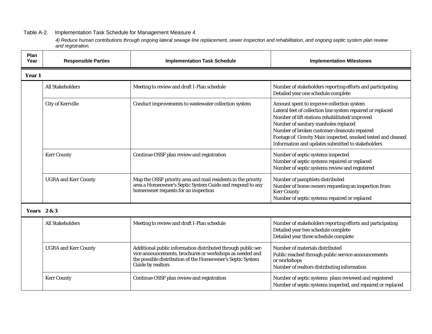#### Table A-2. Implementation Task Schedule for Management Measure 4

*4) Reduce human contributions through ongoing lateral sewage line replacement, sewer inspection and rehabilitation, and ongoing septic system plan review and registration.*

<span id="page-37-0"></span>

| Plan<br>Year       | <b>Responsible Parties</b><br><b>Implementation Task Schedule</b>                |                                                                                                                                                                                                              | <b>Implementation Milestones</b>                                                                                                                                                                                                                                                                                                                                        |
|--------------------|----------------------------------------------------------------------------------|--------------------------------------------------------------------------------------------------------------------------------------------------------------------------------------------------------------|-------------------------------------------------------------------------------------------------------------------------------------------------------------------------------------------------------------------------------------------------------------------------------------------------------------------------------------------------------------------------|
| Year 1             |                                                                                  |                                                                                                                                                                                                              |                                                                                                                                                                                                                                                                                                                                                                         |
|                    | <b>All Stakeholders</b>                                                          | Meeting to review and draft I-Plan schedule                                                                                                                                                                  | Number of stakeholders reporting efforts and participating<br>Detailed year one schedule complete                                                                                                                                                                                                                                                                       |
|                    | <b>City of Kerrville</b><br>Conduct improvements to wastewater collection system |                                                                                                                                                                                                              | Amount spent to improve collection system<br>Lateral feet of collection line system repaired or replaced<br>Number of lift stations rehabilitated/improved<br>Number of sanitary manholes replaced<br>Number of broken customer cleanouts repaired<br>Footage of Gravity Main inspected, smoked tested and cleaned<br>Information and updates submitted to stakeholders |
|                    | <b>Kerr County</b>                                                               | Continue OSSF plan review and registration                                                                                                                                                                   | Number of septic systems inspected<br>Number of septic systems repaired or replaced<br>Number of septic systems review and registered                                                                                                                                                                                                                                   |
|                    | <b>UGRA</b> and Kerr County                                                      | Map the OSSF priority area and mail residents in the priority<br>area a Homeowner's Septic System Guide and respond to any<br>homeowner requests for an inspection                                           | Number of pamphlets distributed<br>Number of home owners requesting an inspection from<br><b>Kerr County</b><br>Number of septic systems repaired or replaced                                                                                                                                                                                                           |
| <b>Years</b> 2 & 3 |                                                                                  |                                                                                                                                                                                                              |                                                                                                                                                                                                                                                                                                                                                                         |
|                    | <b>All Stakeholders</b>                                                          | Meeting to review and draft I-Plan schedule                                                                                                                                                                  | Number of stakeholders reporting efforts and participating<br>Detailed year two schedule complete<br>Detailed year three schedule complete                                                                                                                                                                                                                              |
|                    | <b>UGRA</b> and Kerr County                                                      | Additional public information distributed through public ser-<br>vice announcements, brochures or workshops as needed and<br>the possible distribution of the Homeowner's Septic System<br>Guide by realtors | Number of materials distributed<br>Public reached through public service announcements<br>or workshops<br>Number of realtors distributing information                                                                                                                                                                                                                   |
|                    | <b>Kerr County</b>                                                               | Continue OSSF plan review and registration                                                                                                                                                                   | Number of septic systems plans reviewed and registered<br>Number of septic systems inspected, and repaired or replaced                                                                                                                                                                                                                                                  |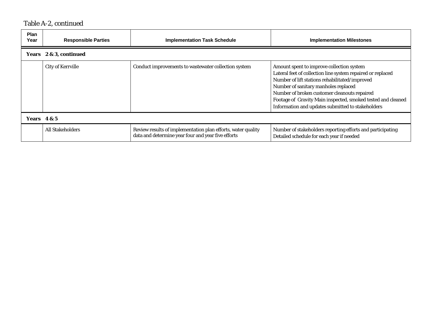# Table A-2, continued

| <b>Plan</b><br>Year | <b>Responsible Parties</b> | <b>Implementation Task Schedule</b>                                                                                | <b>Implementation Milestones</b>                                                                                                                                                                                                                                                                                                                                        |  |  |  |
|---------------------|----------------------------|--------------------------------------------------------------------------------------------------------------------|-------------------------------------------------------------------------------------------------------------------------------------------------------------------------------------------------------------------------------------------------------------------------------------------------------------------------------------------------------------------------|--|--|--|
|                     | Years 2 & 3, continued     |                                                                                                                    |                                                                                                                                                                                                                                                                                                                                                                         |  |  |  |
|                     | <b>City of Kerrville</b>   | Conduct improvements to wastewater collection system                                                               | Amount spent to improve collection system<br>Lateral feet of collection line system repaired or replaced<br>Number of lift stations rehabilitated/improved<br>Number of sanitary manholes replaced<br>Number of broken customer cleanouts repaired<br>Footage of Gravity Main inspected, smoked tested and cleaned<br>Information and updates submitted to stakeholders |  |  |  |
|                     | <b>Years</b> 4 & 5         |                                                                                                                    |                                                                                                                                                                                                                                                                                                                                                                         |  |  |  |
|                     | <b>All Stakeholders</b>    | Review results of implementation plan efforts, water quality<br>data and determine year four and year five efforts | Number of stakeholders reporting efforts and participating<br>Detailed schedule for each year if needed                                                                                                                                                                                                                                                                 |  |  |  |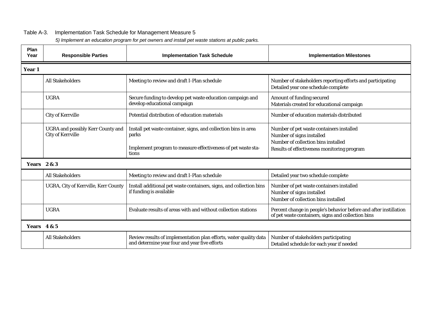#### Table A-3. Implementation Task Schedule for Management Measure 5

<span id="page-39-0"></span>

| Plan<br>Year       | <b>Responsible Parties</b>                                           | <b>Implementation Task Schedule</b>                                                                                                               | <b>Implementation Milestones</b>                                                                                                                            |
|--------------------|----------------------------------------------------------------------|---------------------------------------------------------------------------------------------------------------------------------------------------|-------------------------------------------------------------------------------------------------------------------------------------------------------------|
| Year 1             |                                                                      |                                                                                                                                                   |                                                                                                                                                             |
|                    | <b>All Stakeholders</b>                                              | Meeting to review and draft I-Plan schedule                                                                                                       | Number of stakeholders reporting efforts and participating<br>Detailed year one schedule complete                                                           |
|                    | <b>UGRA</b>                                                          | Secure funding to develop pet waste education campaign and<br>develop educational campaign                                                        | Amount of funding secured<br>Materials created for educational campaign                                                                                     |
|                    | <b>City of Kerrville</b>                                             | Potential distribution of education materials                                                                                                     | Number of education materials distributed                                                                                                                   |
|                    | <b>UGRA</b> and possibly Kerr County and<br><b>City of Kerrville</b> | Install pet waste container, signs, and collection bins in area<br>parks<br>Implement program to measure effectiveness of pet waste sta-<br>tions | Number of pet waste containers installed<br>Number of signs installed<br>Number of collection bins installed<br>Results of effectiveness monitoring program |
| <b>Years</b> 2 & 3 |                                                                      |                                                                                                                                                   |                                                                                                                                                             |
|                    | <b>All Stakeholders</b>                                              | Meeting to review and draft I-Plan schedule                                                                                                       | Detailed year two schedule complete                                                                                                                         |
|                    | UGRA, City of Kerrville, Kerr County                                 | Install additional pet waste containers, signs, and collection bins<br>if funding is available                                                    | Number of pet waste containers installed<br>Number of signs installed<br>Number of collection bins installed                                                |
|                    | <b>UGRA</b>                                                          | Evaluate results of areas with and without collection stations                                                                                    | Percent change in people's behavior before and after instillation<br>of pet waste containers, signs and collection bins                                     |
| Years 4 & 5        |                                                                      |                                                                                                                                                   |                                                                                                                                                             |
|                    | <b>All Stakeholders</b>                                              | Review results of implementation plan efforts, water quality data<br>and determine year four and year five efforts                                | Number of stakeholders participating<br>Detailed schedule for each year if needed                                                                           |

*5) Implement an education program for pet owners and install pet waste stations at public parks.*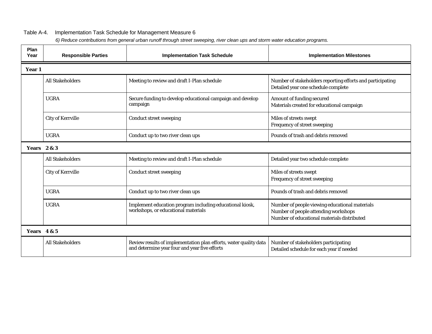#### Table A-4. Implementation Task Schedule for Management Measure 6

*6) Reduce contributions from general urban runoff through street sweeping, river clean ups and storm water education programs.*

<span id="page-40-0"></span>

| Plan<br>Year       | <b>Responsible Parties</b><br><b>Implementation Task Schedule</b> |                                                                                                                    | <b>Implementation Milestones</b>                                                                                                      |
|--------------------|-------------------------------------------------------------------|--------------------------------------------------------------------------------------------------------------------|---------------------------------------------------------------------------------------------------------------------------------------|
| Year 1             |                                                                   |                                                                                                                    |                                                                                                                                       |
|                    | <b>All Stakeholders</b>                                           | Meeting to review and draft I-Plan schedule                                                                        | Number of stakeholders reporting efforts and participating<br>Detailed year one schedule complete                                     |
|                    | <b>UGRA</b>                                                       | Secure funding to develop educational campaign and develop<br>campaign                                             | Amount of funding secured<br>Materials created for educational campaign                                                               |
|                    | <b>City of Kerrville</b>                                          | <b>Conduct street sweeping</b>                                                                                     | Miles of streets swept<br>Frequency of street sweeping                                                                                |
|                    | <b>UGRA</b>                                                       | Conduct up to two river clean ups                                                                                  | Pounds of trash and debris removed                                                                                                    |
| <b>Years</b> 2 & 3 |                                                                   |                                                                                                                    |                                                                                                                                       |
|                    | <b>All Stakeholders</b>                                           | Meeting to review and draft I-Plan schedule                                                                        | Detailed year two schedule complete                                                                                                   |
|                    | <b>City of Kerrville</b>                                          | <b>Conduct street sweeping</b>                                                                                     | Miles of streets swept<br>Frequency of street sweeping                                                                                |
|                    | <b>UGRA</b>                                                       | Conduct up to two river clean ups                                                                                  | Pounds of trash and debris removed                                                                                                    |
|                    | <b>UGRA</b>                                                       | Implement education program including educational kiosk,<br>workshops, or educational materials                    | Number of people viewing educational materials<br>Number of people attending workshops<br>Number of educational materials distributed |
| Years $4 & 5$      |                                                                   |                                                                                                                    |                                                                                                                                       |
|                    | <b>All Stakeholders</b>                                           | Review results of implementation plan efforts, water quality data<br>and determine year four and year five efforts | Number of stakeholders participating<br>Detailed schedule for each year if needed                                                     |